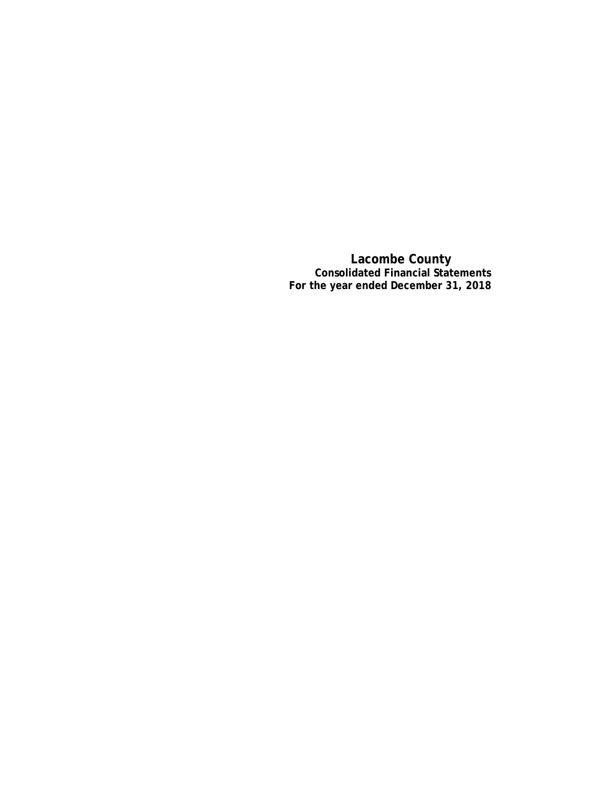**Lacombe County Consolidated Financial Statements For the year ended December 31, 2018**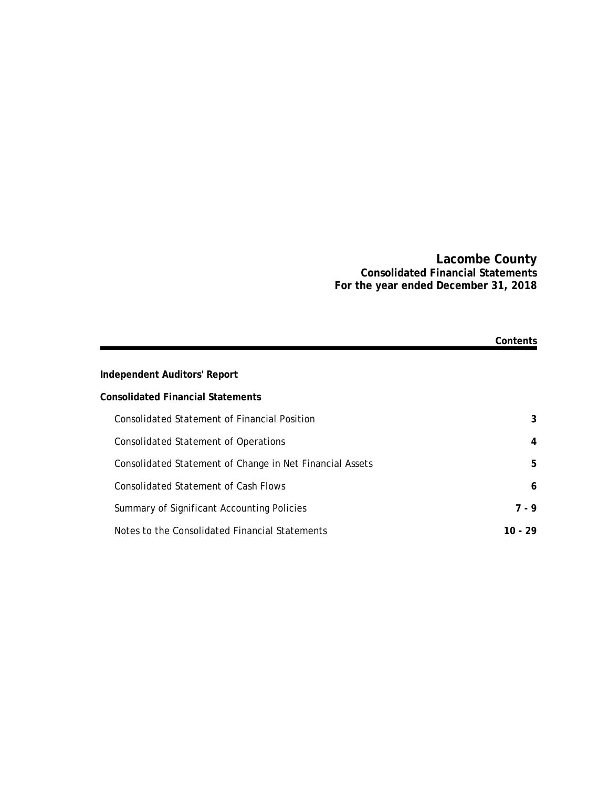### **Lacombe County Consolidated Financial Statements For the year ended December 31, 2018**

|                                                          | Contents |
|----------------------------------------------------------|----------|
| <b>Independent Auditors' Report</b>                      |          |
| <b>Consolidated Financial Statements</b>                 |          |
| Consolidated Statement of Financial Position             | 3        |
| Consolidated Statement of Operations                     | 4        |
| Consolidated Statement of Change in Net Financial Assets | 5        |
| Consolidated Statement of Cash Flows                     | 6        |
| Summary of Significant Accounting Policies               | 7 - 9    |
| Notes to the Consolidated Financial Statements           | 10 - 29  |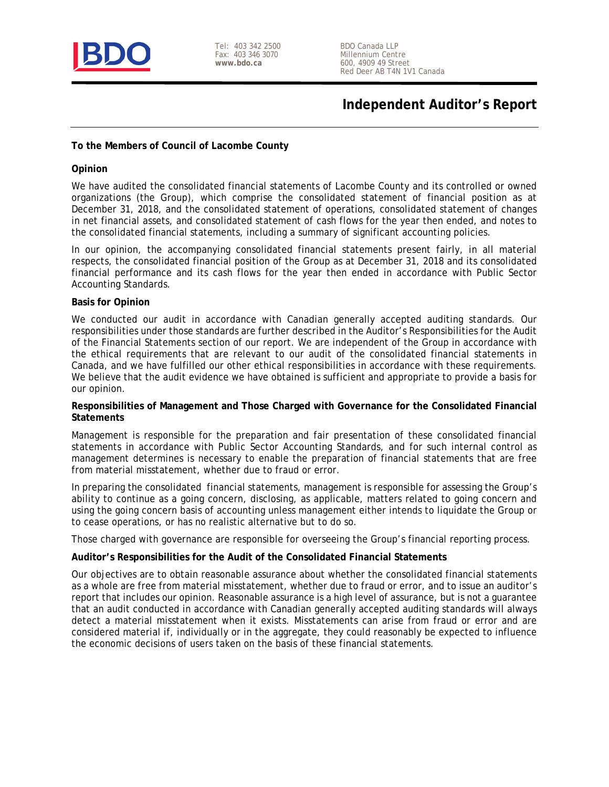

Tel: 403 342 2500 Fax: 403 346 3070 **www.bdo.ca**

# **Independent Auditor's Report**

#### **To the Members of Council of Lacombe County**

#### **Opinion**

We have audited the consolidated financial statements of Lacombe County and its controlled or owned organizations (the Group), which comprise the consolidated statement of financial position as at December 31, 2018, and the consolidated statement of operations, consolidated statement of changes in net financial assets, and consolidated statement of cash flows for the year then ended, and notes to the consolidated financial statements, including a summary of significant accounting policies.

In our opinion, the accompanying consolidated financial statements present fairly, in all material respects, the consolidated financial position of the Group as at December 31, 2018 and its consolidated financial performance and its cash flows for the year then ended in accordance with Public Sector Accounting Standards.

#### **Basis for Opinion**

We conducted our audit in accordance with Canadian generally accepted auditing standards. Our responsibilities under those standards are further described in the Auditor's Responsibilities for the Audit of the Financial Statements section of our report. We are independent of the Group in accordance with the ethical requirements that are relevant to our audit of the consolidated financial statements in Canada, and we have fulfilled our other ethical responsibilities in accordance with these requirements. We believe that the audit evidence we have obtained is sufficient and appropriate to provide a basis for our opinion.

#### **Responsibilities of Management and Those Charged with Governance for the Consolidated Financial Statements**

Management is responsible for the preparation and fair presentation of these consolidated financial statements in accordance with Public Sector Accounting Standards, and for such internal control as management determines is necessary to enable the preparation of financial statements that are free from material misstatement, whether due to fraud or error.

In preparing the consolidated financial statements, management is responsible for assessing the Group's ability to continue as a going concern, disclosing, as applicable, matters related to going concern and using the going concern basis of accounting unless management either intends to liquidate the Group or to cease operations, or has no realistic alternative but to do so.

Those charged with governance are responsible for overseeing the Group's financial reporting process.

#### **Auditor's Responsibilities for the Audit of the Consolidated Financial Statements**

Our objectives are to obtain reasonable assurance about whether the consolidated financial statements as a whole are free from material misstatement, whether due to fraud or error, and to issue an auditor's report that includes our opinion. Reasonable assurance is a high level of assurance, but is not a guarantee that an audit conducted in accordance with Canadian generally accepted auditing standards will always detect a material misstatement when it exists. Misstatements can arise from fraud or error and are considered material if, individually or in the aggregate, they could reasonably be expected to influence the economic decisions of users taken on the basis of these financial statements.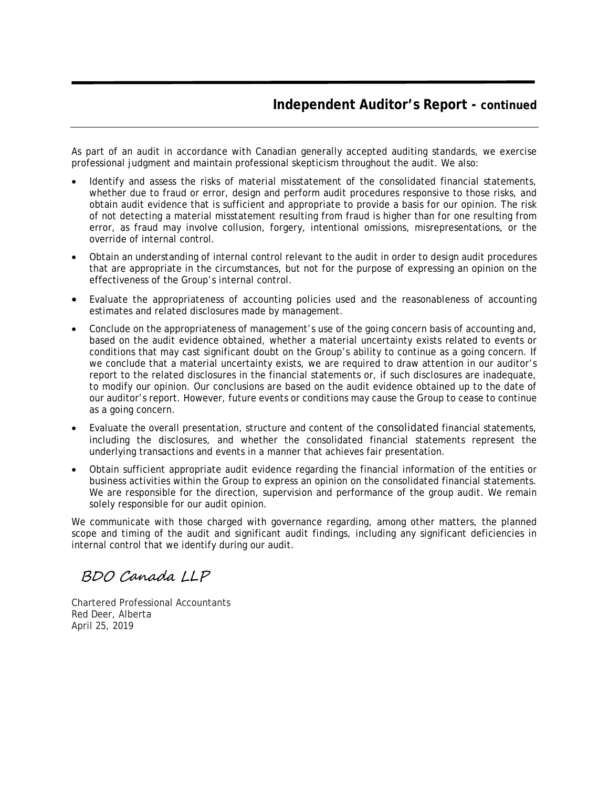# **Independent Auditor's Report - continued**

As part of an audit in accordance with Canadian generally accepted auditing standards, we exercise professional judgment and maintain professional skepticism throughout the audit. We also:

- Identify and assess the risks of material misstatement of the consolidated financial statements, whether due to fraud or error, design and perform audit procedures responsive to those risks, and obtain audit evidence that is sufficient and appropriate to provide a basis for our opinion. The risk of not detecting a material misstatement resulting from fraud is higher than for one resulting from error, as fraud may involve collusion, forgery, intentional omissions, misrepresentations, or the override of internal control.
- Obtain an understanding of internal control relevant to the audit in order to design audit procedures that are appropriate in the circumstances, but not for the purpose of expressing an opinion on the effectiveness of the Group's internal control.
- Evaluate the appropriateness of accounting policies used and the reasonableness of accounting estimates and related disclosures made by management.
- Conclude on the appropriateness of management's use of the going concern basis of accounting and, based on the audit evidence obtained, whether a material uncertainty exists related to events or conditions that may cast significant doubt on the Group's ability to continue as a going concern. If we conclude that a material uncertainty exists, we are required to draw attention in our auditor's report to the related disclosures in the financial statements or, if such disclosures are inadequate, to modify our opinion. Our conclusions are based on the audit evidence obtained up to the date of our auditor's report. However, future events or conditions may cause the Group to cease to continue as a going concern.
- Evaluate the overall presentation, structure and content of the consolidated financial statements, including the disclosures, and whether the consolidated financial statements represent the underlying transactions and events in a manner that achieves fair presentation.
- Obtain sufficient appropriate audit evidence regarding the financial information of the entities or business activities within the Group to express an opinion on the consolidated financial statements. We are responsible for the direction, supervision and performance of the group audit. We remain solely responsible for our audit opinion.

We communicate with those charged with governance regarding, among other matters, the planned scope and timing of the audit and significant audit findings, including any significant deficiencies in internal control that we identify during our audit.

# BDO Canada LLP

Chartered Professional Accountants Red Deer, Alberta April 25, 2019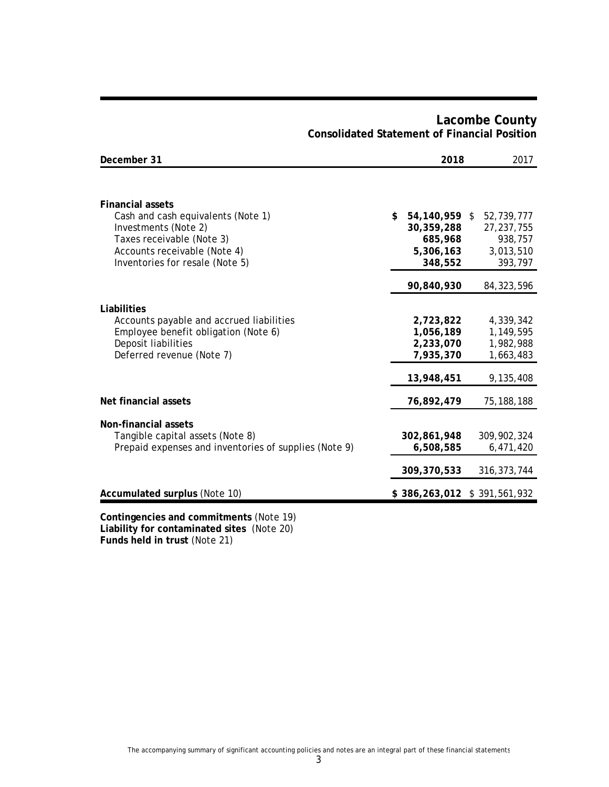| December 31                                                                                                                                                                           | 2018 |                                                                | 2017 |                                                               |
|---------------------------------------------------------------------------------------------------------------------------------------------------------------------------------------|------|----------------------------------------------------------------|------|---------------------------------------------------------------|
|                                                                                                                                                                                       |      |                                                                |      |                                                               |
| <b>Financial assets</b><br>Cash and cash equivalents (Note 1)<br>Investments (Note 2)<br>Taxes receivable (Note 3)<br>Accounts receivable (Note 4)<br>Inventories for resale (Note 5) | \$   | 54,140,959 \$<br>30,359,288<br>685,968<br>5,306,163<br>348,552 |      | 52,739,777<br>27, 237, 755<br>938,757<br>3,013,510<br>393,797 |
|                                                                                                                                                                                       |      | 90,840,930                                                     |      | 84, 323, 596                                                  |
| Liabilities                                                                                                                                                                           |      |                                                                |      |                                                               |
| Accounts payable and accrued liabilities                                                                                                                                              |      | 2,723,822                                                      |      | 4,339,342                                                     |
| Employee benefit obligation (Note 6)                                                                                                                                                  |      | 1,056,189                                                      |      | 1,149,595                                                     |
| Deposit liabilities<br>Deferred revenue (Note 7)                                                                                                                                      |      | 2,233,070<br>7,935,370                                         |      | 1,982,988<br>1,663,483                                        |
|                                                                                                                                                                                       |      | 13,948,451                                                     |      | 9,135,408                                                     |
| Net financial assets                                                                                                                                                                  |      | 76,892,479                                                     |      | 75, 188, 188                                                  |
| Non-financial assets                                                                                                                                                                  |      |                                                                |      |                                                               |
| Tangible capital assets (Note 8)<br>Prepaid expenses and inventories of supplies (Note 9)                                                                                             |      | 302,861,948<br>6,508,585                                       |      | 309,902,324<br>6,471,420                                      |
|                                                                                                                                                                                       |      |                                                                |      |                                                               |
|                                                                                                                                                                                       |      | 309,370,533                                                    |      | 316, 373, 744                                                 |
| <b>Accumulated surplus (Note 10)</b>                                                                                                                                                  |      | $$386,263,012 \ $391,561,932$                                  |      |                                                               |
| Contingencies and commitments (Note 19)                                                                                                                                               |      |                                                                |      |                                                               |

# **Lacombe County Consolidated Statement of Financial Position**

**Liability for contaminated sites** (Note 20) **Funds held in trust** (Note 21)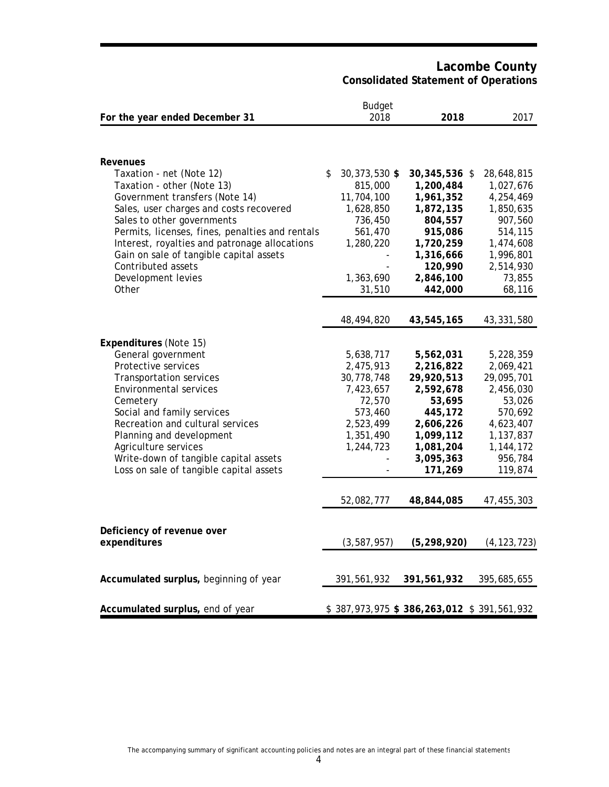**Lacombe County Consolidated Statement of Operations**

|                                                        | <b>Budget</b>            |                                           |                         |
|--------------------------------------------------------|--------------------------|-------------------------------------------|-------------------------|
| For the year ended December 31                         | 2018                     | 2018                                      | 2017                    |
|                                                        |                          |                                           |                         |
|                                                        |                          |                                           |                         |
|                                                        |                          |                                           |                         |
| Revenues                                               | \$                       |                                           |                         |
| Taxation - net (Note 12)<br>Taxation - other (Note 13) | 30,373,530 \$<br>815,000 | 30,345,536 \$<br>1,200,484                | 28,648,815<br>1,027,676 |
| Government transfers (Note 14)                         | 11,704,100               | 1,961,352                                 | 4,254,469               |
|                                                        |                          |                                           |                         |
| Sales, user charges and costs recovered                | 1,628,850                | 1,872,135                                 | 1,850,635               |
| Sales to other governments                             | 736,450                  | 804,557                                   | 907,560                 |
| Permits, licenses, fines, penalties and rentals        | 561,470                  | 915,086                                   | 514,115                 |
| Interest, royalties and patronage allocations          | 1,280,220                | 1,720,259                                 | 1,474,608               |
| Gain on sale of tangible capital assets                |                          | 1,316,666                                 | 1,996,801               |
| Contributed assets                                     |                          | 120,990                                   | 2,514,930               |
| Development levies                                     | 1,363,690                | 2,846,100                                 | 73,855                  |
| Other                                                  | 31,510                   | 442,000                                   | 68,116                  |
|                                                        |                          |                                           |                         |
|                                                        | 48,494,820               | 43,545,165                                | 43,331,580              |
|                                                        |                          |                                           |                         |
| <b>Expenditures (Note 15)</b>                          |                          |                                           |                         |
| General government                                     | 5,638,717                | 5,562,031                                 | 5,228,359               |
| Protective services                                    | 2,475,913                | 2,216,822                                 | 2,069,421               |
| Transportation services                                | 30,778,748               | 29,920,513                                | 29,095,701              |
| <b>Environmental services</b>                          | 7,423,657                | 2,592,678                                 | 2,456,030               |
| Cemetery                                               | 72,570                   | 53,695                                    | 53,026                  |
| Social and family services                             | 573,460                  | 445,172                                   | 570,692                 |
| Recreation and cultural services                       | 2,523,499                | 2,606,226                                 | 4,623,407               |
| Planning and development                               | 1,351,490                | 1,099,112                                 | 1,137,837               |
| Agriculture services                                   | 1,244,723                | 1,081,204                                 | 1,144,172               |
| Write-down of tangible capital assets                  |                          | 3,095,363                                 | 956,784                 |
| Loss on sale of tangible capital assets                |                          | 171,269                                   | 119,874                 |
|                                                        |                          |                                           |                         |
|                                                        | 52,082,777               | 48,844,085                                | 47,455,303              |
|                                                        |                          |                                           |                         |
|                                                        |                          |                                           |                         |
| Deficiency of revenue over                             |                          |                                           |                         |
| expenditures                                           | (3, 587, 957)            | (5, 298, 920)                             | (4, 123, 723)           |
|                                                        |                          |                                           |                         |
| Accumulated surplus, beginning of year                 | 391,561,932              | 391,561,932                               | 395,685,655             |
|                                                        |                          |                                           |                         |
|                                                        |                          |                                           |                         |
| Accumulated surplus, end of year                       |                          | \$387,973,975 \$386,263,012 \$391,561,932 |                         |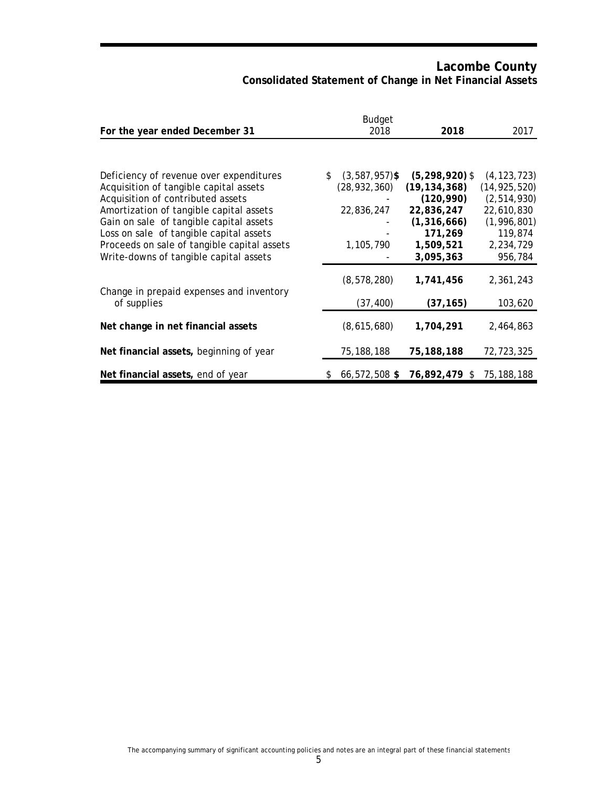# **Lacombe County Consolidated Statement of Change in Net Financial Assets**

| For the year ended December 31                                               | <b>Budget</b><br>2018  | 2018                     | 2017                        |
|------------------------------------------------------------------------------|------------------------|--------------------------|-----------------------------|
|                                                                              |                        |                          |                             |
| Deficiency of revenue over expenditures                                      | \$<br>$(3,587,957)$ \$ | $(5, 298, 920)$ \$       | (4, 123, 723)               |
| Acquisition of tangible capital assets                                       | (28, 932, 360)         | (19, 134, 368)           | (14, 925, 520)              |
| Acquisition of contributed assets<br>Amortization of tangible capital assets | 22,836,247             | (120, 990)<br>22,836,247 | (2, 514, 930)<br>22,610,830 |
| Gain on sale of tangible capital assets                                      |                        | (1,316,666)              | (1,996,801)                 |
| Loss on sale of tangible capital assets                                      |                        | 171,269                  | 119,874                     |
| Proceeds on sale of tangible capital assets                                  | 1,105,790              | 1,509,521                | 2,234,729                   |
| Write-downs of tangible capital assets                                       |                        | 3,095,363                | 956,784                     |
| Change in prepaid expenses and inventory                                     | (8, 578, 280)          | 1,741,456                | 2,361,243                   |
| of supplies                                                                  | (37, 400)              | (37, 165)                | 103,620                     |
| Net change in net financial assets                                           | (8,615,680)            | 1,704,291                | 2,464,863                   |
| Net financial assets, beginning of year                                      | 75,188,188             | 75,188,188               | 72,723,325                  |
| Net financial assets, end of year                                            | \$<br>66,572,508 \$    | 76,892,479 \$            | 75, 188, 188                |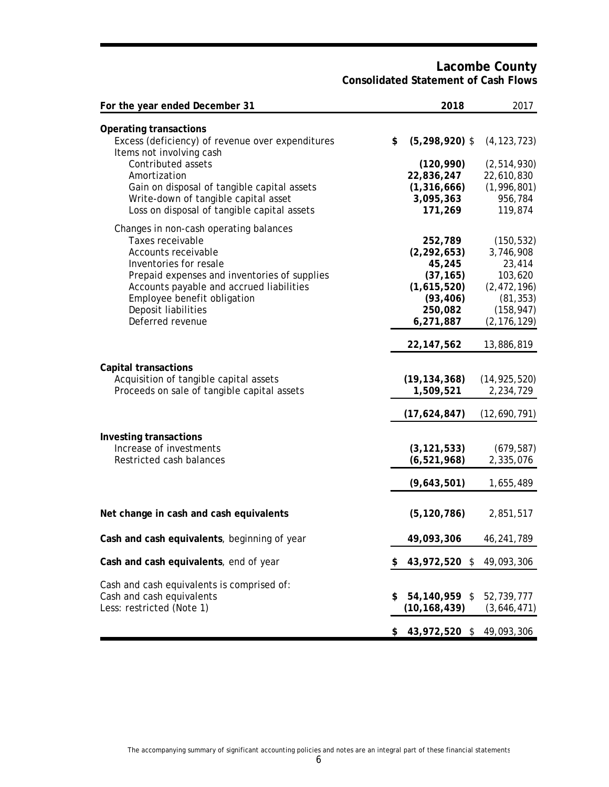### **Lacombe County Consolidated Statement of Cash Flows**

| For the year ended December 31                                                                                                                                                                                                                                                            | 2018<br>2017                                                                                                                                                                                                     |  |
|-------------------------------------------------------------------------------------------------------------------------------------------------------------------------------------------------------------------------------------------------------------------------------------------|------------------------------------------------------------------------------------------------------------------------------------------------------------------------------------------------------------------|--|
| <b>Operating transactions</b><br>Excess (deficiency) of revenue over expenditures<br>Items not involving cash<br>Contributed assets<br>Amortization<br>Gain on disposal of tangible capital assets<br>Write-down of tangible capital asset<br>Loss on disposal of tangible capital assets | \$<br>$(5,298,920)$ \$<br>(4, 123, 723)<br>(120, 990)<br>(2, 514, 930)<br>22,836,247<br>22,610,830<br>(1, 316, 666)<br>(1, 996, 801)<br>3,095,363<br>956,784<br>171,269<br>119,874                               |  |
| Changes in non-cash operating balances<br>Taxes receivable<br>Accounts receivable<br>Inventories for resale<br>Prepaid expenses and inventories of supplies<br>Accounts payable and accrued liabilities<br>Employee benefit obligation<br>Deposit liabilities<br>Deferred revenue         | 252,789<br>(150, 532)<br>(2, 292, 653)<br>3,746,908<br>45,245<br>23,414<br>(37, 165)<br>103,620<br>(1,615,520)<br>(2, 472, 196)<br>(81, 353)<br>(93, 406)<br>250,082<br>(158, 947)<br>(2, 176, 129)<br>6,271,887 |  |
| <b>Capital transactions</b><br>Acquisition of tangible capital assets<br>Proceeds on sale of tangible capital assets                                                                                                                                                                      | 22, 147, 562<br>13,886,819<br>(19, 134, 368)<br>(14, 925, 520)<br>1,509,521<br>2,234,729                                                                                                                         |  |
| Investing transactions<br>Increase of investments<br>Restricted cash balances                                                                                                                                                                                                             | (17,624,847)<br>(12,690,791)<br>(3, 121, 533)<br>(679, 587)<br>(6, 521, 968)<br>2,335,076<br>(9,643,501)<br>1,655,489                                                                                            |  |
| Net change in cash and cash equivalents                                                                                                                                                                                                                                                   | (5, 120, 786)<br>2,851,517                                                                                                                                                                                       |  |
| Cash and cash equivalents, beginning of year                                                                                                                                                                                                                                              | 49,093,306<br>46,241,789                                                                                                                                                                                         |  |
| Cash and cash equivalents, end of year                                                                                                                                                                                                                                                    | 43,972,520 \$ 49,093,306<br>\$                                                                                                                                                                                   |  |
| Cash and cash equivalents is comprised of:<br>Cash and cash equivalents<br>Less: restricted (Note 1)                                                                                                                                                                                      | 54,140,959 \$<br>52,739,777<br>\$<br>(10, 168, 439)<br>(3,646,471)                                                                                                                                               |  |
|                                                                                                                                                                                                                                                                                           | 43,972,520 \$ 49,093,306<br>\$                                                                                                                                                                                   |  |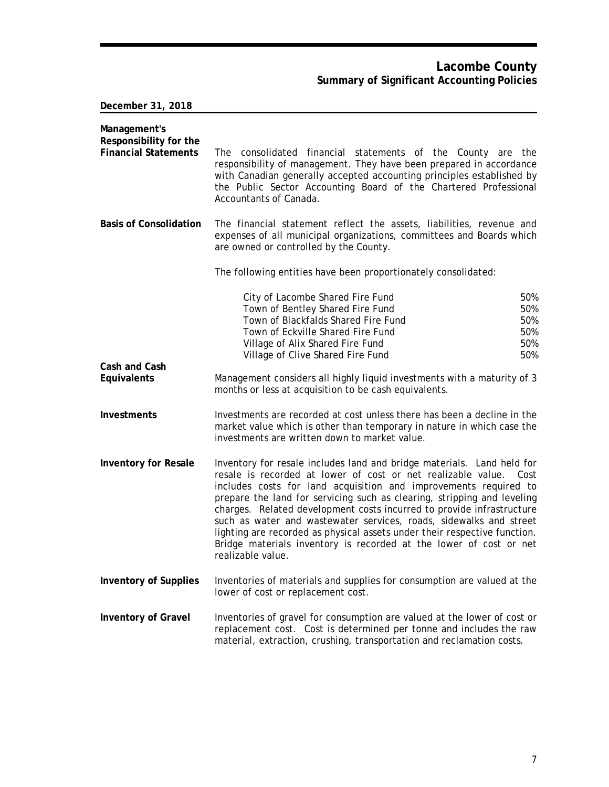## **Lacombe County Summary of Significant Accounting Policies**

**December 31, 2018**

| Management's<br>Responsibility for the<br><b>Financial Statements</b> | The consolidated financial statements of the County are the<br>responsibility of management. They have been prepared in accordance<br>with Canadian generally accepted accounting principles established by<br>the Public Sector Accounting Board of the Chartered Professional<br>Accountants of Canada.                                                                                                                                                                                                                                                                                                            |
|-----------------------------------------------------------------------|----------------------------------------------------------------------------------------------------------------------------------------------------------------------------------------------------------------------------------------------------------------------------------------------------------------------------------------------------------------------------------------------------------------------------------------------------------------------------------------------------------------------------------------------------------------------------------------------------------------------|
| <b>Basis of Consolidation</b>                                         | The financial statement reflect the assets, liabilities, revenue and<br>expenses of all municipal organizations, committees and Boards which<br>are owned or controlled by the County.                                                                                                                                                                                                                                                                                                                                                                                                                               |
|                                                                       | The following entities have been proportionately consolidated:                                                                                                                                                                                                                                                                                                                                                                                                                                                                                                                                                       |
|                                                                       | City of Lacombe Shared Fire Fund<br>50%<br>Town of Bentley Shared Fire Fund<br>50%<br>Town of Blackfalds Shared Fire Fund<br>50%<br>Town of Eckville Shared Fire Fund<br>50%<br>50%<br>Village of Alix Shared Fire Fund<br>50%<br>Village of Clive Shared Fire Fund                                                                                                                                                                                                                                                                                                                                                  |
| Cash and Cash<br>Equivalents                                          | Management considers all highly liquid investments with a maturity of 3<br>months or less at acquisition to be cash equivalents.                                                                                                                                                                                                                                                                                                                                                                                                                                                                                     |
| Investments                                                           | Investments are recorded at cost unless there has been a decline in the<br>market value which is other than temporary in nature in which case the<br>investments are written down to market value.                                                                                                                                                                                                                                                                                                                                                                                                                   |
| <b>Inventory for Resale</b>                                           | Inventory for resale includes land and bridge materials. Land held for<br>resale is recorded at lower of cost or net realizable value.<br>Cost<br>includes costs for land acquisition and improvements required to<br>prepare the land for servicing such as clearing, stripping and leveling<br>charges. Related development costs incurred to provide infrastructure<br>such as water and wastewater services, roads, sidewalks and street<br>lighting are recorded as physical assets under their respective function.<br>Bridge materials inventory is recorded at the lower of cost or net<br>realizable value. |
| <b>Inventory of Supplies</b>                                          | Inventories of materials and supplies for consumption are valued at the<br>lower of cost or replacement cost.                                                                                                                                                                                                                                                                                                                                                                                                                                                                                                        |
| <b>Inventory of Gravel</b>                                            | Inventories of gravel for consumption are valued at the lower of cost or<br>replacement cost. Cost is determined per tonne and includes the raw<br>material, extraction, crushing, transportation and reclamation costs.                                                                                                                                                                                                                                                                                                                                                                                             |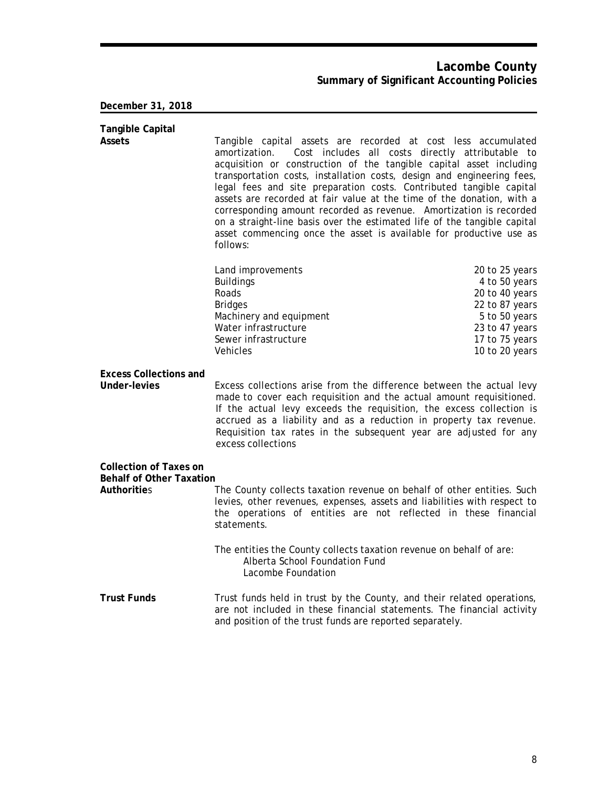### **Lacombe County Summary of Significant Accounting Policies**

### **December 31, 2018**

| <b>Tangible Capital</b><br><b>Assets</b>                                               | Tangible capital assets are recorded at cost less accumulated<br>amortization.<br>acquisition or construction of the tangible capital asset including<br>transportation costs, installation costs, design and engineering fees,<br>legal fees and site preparation costs. Contributed tangible capital<br>assets are recorded at fair value at the time of the donation, with a<br>corresponding amount recorded as revenue. Amortization is recorded<br>on a straight-line basis over the estimated life of the tangible capital<br>asset commencing once the asset is available for productive use as<br>follows: | Cost includes all costs directly attributable to                                                                                           |
|----------------------------------------------------------------------------------------|---------------------------------------------------------------------------------------------------------------------------------------------------------------------------------------------------------------------------------------------------------------------------------------------------------------------------------------------------------------------------------------------------------------------------------------------------------------------------------------------------------------------------------------------------------------------------------------------------------------------|--------------------------------------------------------------------------------------------------------------------------------------------|
|                                                                                        | Land improvements<br><b>Buildings</b><br>Roads<br><b>Bridges</b><br>Machinery and equipment<br>Water infrastructure<br>Sewer infrastructure<br><b>Vehicles</b>                                                                                                                                                                                                                                                                                                                                                                                                                                                      | 20 to 25 years<br>4 to 50 years<br>20 to 40 years<br>22 to 87 years<br>5 to 50 years<br>23 to 47 years<br>17 to 75 years<br>10 to 20 years |
| <b>Excess Collections and</b><br>Under-levies                                          | Excess collections arise from the difference between the actual levy<br>made to cover each requisition and the actual amount requisitioned.<br>If the actual levy exceeds the requisition, the excess collection is<br>accrued as a liability and as a reduction in property tax revenue.<br>Requisition tax rates in the subsequent year are adjusted for any<br>excess collections                                                                                                                                                                                                                                |                                                                                                                                            |
| <b>Collection of Taxes on</b><br><b>Behalf of Other Taxation</b><br><b>Authorities</b> | The County collects taxation revenue on behalf of other entities. Such<br>levies, other revenues, expenses, assets and liabilities with respect to<br>the operations of entities are not reflected in these financial<br>statements.<br>The entities the County collects taxation revenue on behalf of are:<br>Alberta School Foundation Fund<br>Lacombe Foundation                                                                                                                                                                                                                                                 |                                                                                                                                            |
| <b>Trust Funds</b>                                                                     | Trust funds held in trust by the County, and their related operations,<br>are not included in these financial statements. The financial activity                                                                                                                                                                                                                                                                                                                                                                                                                                                                    |                                                                                                                                            |

and position of the trust funds are reported separately.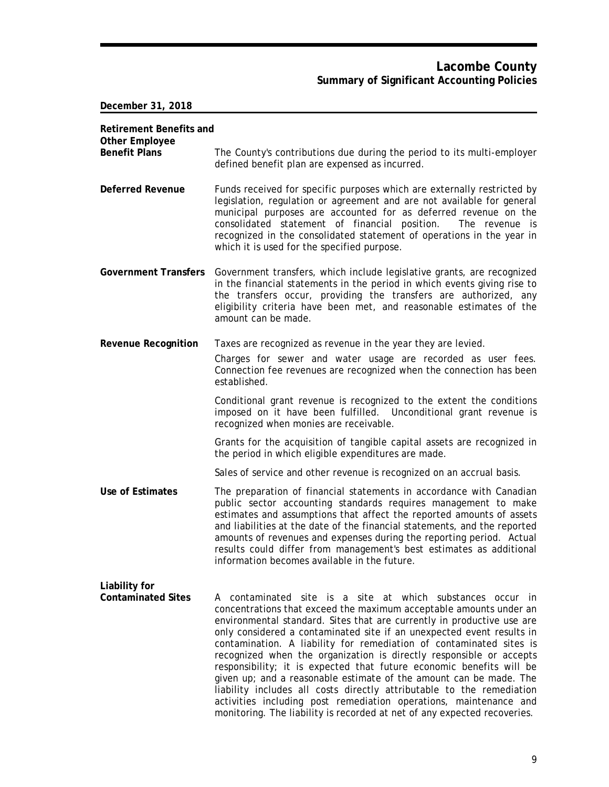## **Lacombe County Summary of Significant Accounting Policies**

**December 31, 2018**

| <b>Retirement Benefits and</b><br><b>Other Employee</b> |                                                                                                                                                                                                                                                                                                                                                                                                                                                                                                                                                                                                                                                                                                                                                                                                           |
|---------------------------------------------------------|-----------------------------------------------------------------------------------------------------------------------------------------------------------------------------------------------------------------------------------------------------------------------------------------------------------------------------------------------------------------------------------------------------------------------------------------------------------------------------------------------------------------------------------------------------------------------------------------------------------------------------------------------------------------------------------------------------------------------------------------------------------------------------------------------------------|
| <b>Benefit Plans</b>                                    | The County's contributions due during the period to its multi-employer<br>defined benefit plan are expensed as incurred.                                                                                                                                                                                                                                                                                                                                                                                                                                                                                                                                                                                                                                                                                  |
| <b>Deferred Revenue</b>                                 | Funds received for specific purposes which are externally restricted by<br>legislation, regulation or agreement and are not available for general<br>municipal purposes are accounted for as deferred revenue on the<br>consolidated statement of financial position.<br>The revenue is<br>recognized in the consolidated statement of operations in the year in<br>which it is used for the specified purpose.                                                                                                                                                                                                                                                                                                                                                                                           |
| <b>Government Transfers</b>                             | Government transfers, which include legislative grants, are recognized<br>in the financial statements in the period in which events giving rise to<br>the transfers occur, providing the transfers are authorized, any<br>eligibility criteria have been met, and reasonable estimates of the<br>amount can be made.                                                                                                                                                                                                                                                                                                                                                                                                                                                                                      |
| <b>Revenue Recognition</b>                              | Taxes are recognized as revenue in the year they are levied.                                                                                                                                                                                                                                                                                                                                                                                                                                                                                                                                                                                                                                                                                                                                              |
|                                                         | Charges for sewer and water usage are recorded as user fees.<br>Connection fee revenues are recognized when the connection has been<br>established.                                                                                                                                                                                                                                                                                                                                                                                                                                                                                                                                                                                                                                                       |
|                                                         | Conditional grant revenue is recognized to the extent the conditions<br>imposed on it have been fulfilled. Unconditional grant revenue is<br>recognized when monies are receivable.                                                                                                                                                                                                                                                                                                                                                                                                                                                                                                                                                                                                                       |
|                                                         | Grants for the acquisition of tangible capital assets are recognized in<br>the period in which eligible expenditures are made.                                                                                                                                                                                                                                                                                                                                                                                                                                                                                                                                                                                                                                                                            |
|                                                         | Sales of service and other revenue is recognized on an accrual basis.                                                                                                                                                                                                                                                                                                                                                                                                                                                                                                                                                                                                                                                                                                                                     |
| Use of Estimates                                        | The preparation of financial statements in accordance with Canadian<br>public sector accounting standards requires management to make<br>estimates and assumptions that affect the reported amounts of assets<br>and liabilities at the date of the financial statements, and the reported<br>amounts of revenues and expenses during the reporting period. Actual<br>results could differ from management's best estimates as additional<br>information becomes available in the future.                                                                                                                                                                                                                                                                                                                 |
| Liability for<br><b>Contaminated Sites</b>              | A contaminated site is a site at which substances occur in<br>concentrations that exceed the maximum acceptable amounts under an<br>environmental standard. Sites that are currently in productive use are<br>only considered a contaminated site if an unexpected event results in<br>contamination. A liability for remediation of contaminated sites is<br>recognized when the organization is directly responsible or accepts<br>responsibility; it is expected that future economic benefits will be<br>given up; and a reasonable estimate of the amount can be made. The<br>liability includes all costs directly attributable to the remediation<br>activities including post remediation operations, maintenance and<br>monitoring. The liability is recorded at net of any expected recoveries. |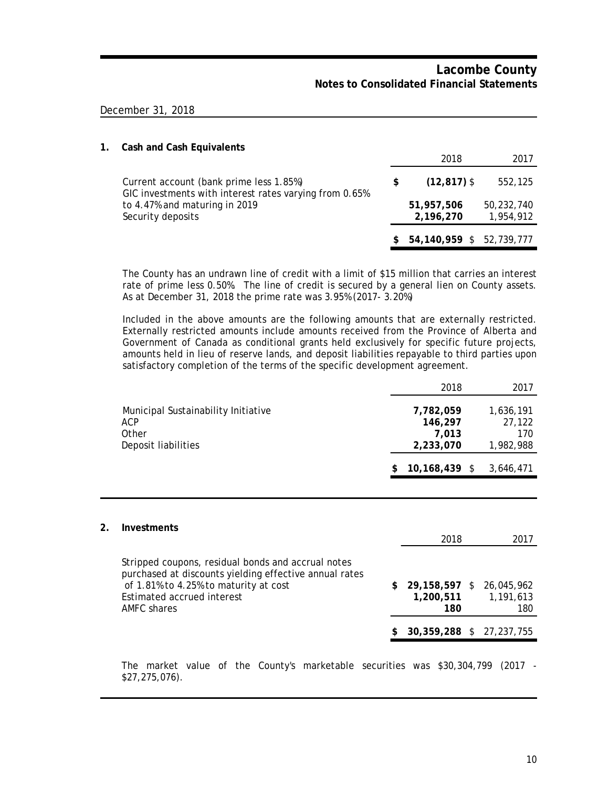#### December 31, 2018

| 1. | <b>Cash and Cash Equivalents</b>                                                                  |   |                          |                         |
|----|---------------------------------------------------------------------------------------------------|---|--------------------------|-------------------------|
|    |                                                                                                   |   | 2018                     | 2017                    |
|    | Current account (bank prime less 1.85%)<br>GIC investments with interest rates varying from 0.65% | S | $(12, 817)$ \$           | 552,125                 |
|    | to 4.47% and maturing in 2019<br>Security deposits                                                |   | 51,957,506<br>2,196,270  | 50,232,740<br>1,954,912 |
|    |                                                                                                   |   | 54,140,959 \$ 52,739,777 |                         |

The County has an undrawn line of credit with a limit of \$15 million that carries an interest rate of prime less 0.50%. The line of credit is secured by a general lien on County assets. As at December 31, 2018 the prime rate was 3.95% (2017- 3.20%)

Included in the above amounts are the following amounts that are externally restricted. Externally restricted amounts include amounts received from the Province of Alberta and Government of Canada as conditional grants held exclusively for specific future projects, amounts held in lieu of reserve lands, and deposit liabilities repayable to third parties upon satisfactory completion of the terms of the specific development agreement.

|                                                                            | 2018                                       | 2017                                    |
|----------------------------------------------------------------------------|--------------------------------------------|-----------------------------------------|
| Municipal Sustainability Initiative<br>ACP<br>Other<br>Deposit liabilities | 7,782,059<br>146,297<br>7.013<br>2,233,070 | 1,636,191<br>27,122<br>170<br>1,982,988 |
|                                                                            | $10,168,439$ \$                            | 3,646,471                               |

| 2. | <b>Investments</b>                                                                                                                                                                                 |    |                                   |                                |  |
|----|----------------------------------------------------------------------------------------------------------------------------------------------------------------------------------------------------|----|-----------------------------------|--------------------------------|--|
|    |                                                                                                                                                                                                    |    | 2018                              | 2017                           |  |
|    | Stripped coupons, residual bonds and accrual notes<br>purchased at discounts yielding effective annual rates<br>of 1.81% to 4.25% to maturity at cost<br>Estimated accrued interest<br>AMFC shares | S. | 29,158,597 \$<br>1,200,511<br>180 | 26,045,962<br>1,191,613<br>180 |  |
|    |                                                                                                                                                                                                    |    | 30,359,288 \$ 27,237,755          |                                |  |

The market value of the County's marketable securities was \$30,304,799 (2017 - \$27,275,076).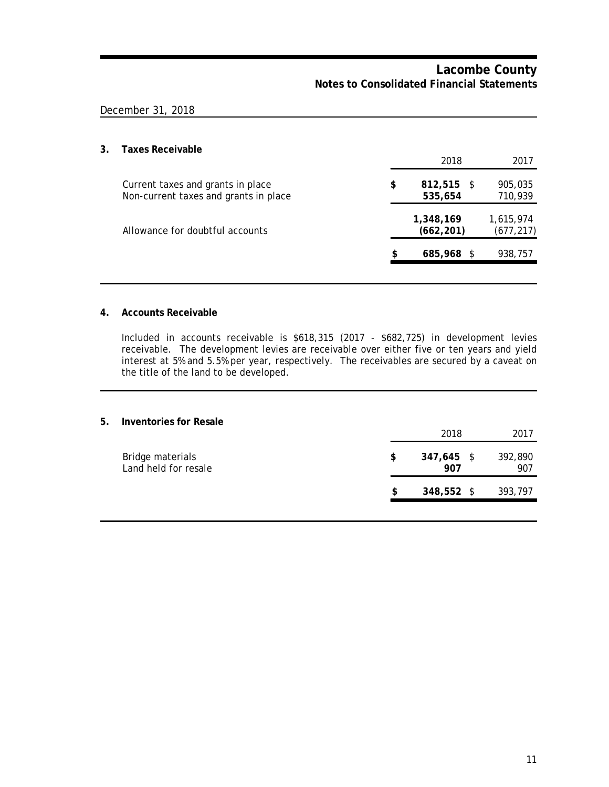### December 31, 2018

## **3. Taxes Receivable**

|                                                                            | 2018                          | 2017                    |
|----------------------------------------------------------------------------|-------------------------------|-------------------------|
| Current taxes and grants in place<br>Non-current taxes and grants in place | \$<br>$812,515$ \$<br>535,654 | 905,035<br>710,939      |
| Allowance for doubtful accounts                                            | 1,348,169<br>(662, 201)       | 1,615,974<br>(677, 217) |
|                                                                            | \$<br>685,968 \$              | 938,757                 |
|                                                                            |                               |                         |

#### **4. Accounts Receivable**

Included in accounts receivable is \$618,315 (2017 - \$682,725) in development levies receivable. The development levies are receivable over either five or ten years and yield interest at 5% and 5.5% per year, respectively. The receivables are secured by a caveat on the title of the land to be developed.

#### **5. Inventories for Resale**

|                                          |    | 2018              | 2017           |
|------------------------------------------|----|-------------------|----------------|
| Bridge materials<br>Land held for resale | \$ | 347,645 \$<br>907 | 392,890<br>907 |
|                                          | S  | 348,552 \$        | 393,797        |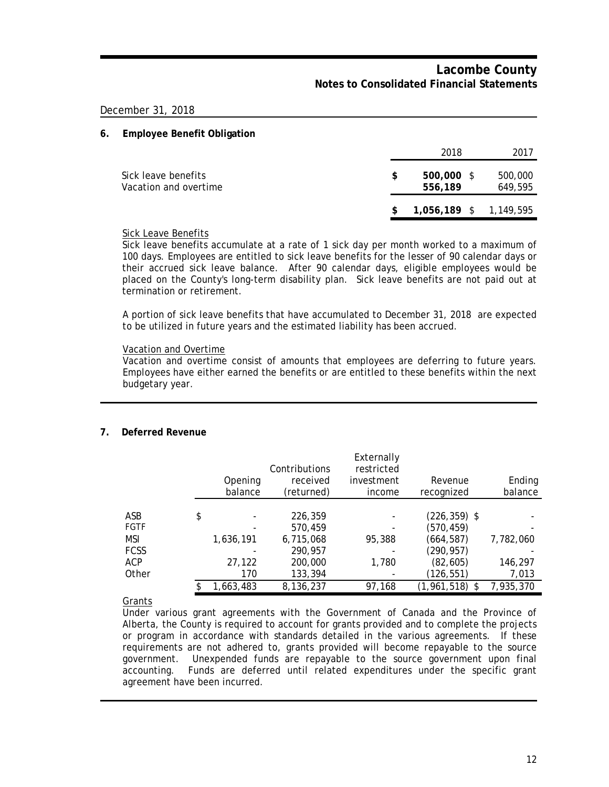December 31, 2018

#### **6. Employee Benefit Obligation**

|                                              |    | 2018                     | 2017               |
|----------------------------------------------|----|--------------------------|--------------------|
| Sick leave benefits<br>Vacation and overtime | £. | $500,000$ \$<br>556,189  | 500,000<br>649,595 |
|                                              | S. | $1,056,189$ \$ 1,149,595 |                    |

#### Sick Leave Benefits

Sick leave benefits accumulate at a rate of 1 sick day per month worked to a maximum of 100 days. Employees are entitled to sick leave benefits for the lesser of 90 calendar days or their accrued sick leave balance. After 90 calendar days, eligible employees would be placed on the County's long-term disability plan. Sick leave benefits are not paid out at termination or retirement.

A portion of sick leave benefits that have accumulated to December 31, 2018 are expected to be utilized in future years and the estimated liability has been accrued.

#### Vacation and Overtime

Vacation and overtime consist of amounts that employees are deferring to future years. Employees have either earned the benefits or are entitled to these benefits within the next budgetary year.

#### **7. Deferred Revenue**

|             | Opening<br>balance | Contributions<br>received<br>(returned) | Externally<br>restricted<br>investment<br>income | Revenue<br>recognized | Ending<br>balance |
|-------------|--------------------|-----------------------------------------|--------------------------------------------------|-----------------------|-------------------|
|             |                    |                                         |                                                  |                       |                   |
| ASB         | \$                 | 226,359                                 |                                                  | $(226, 359)$ \$       |                   |
| FGTF        |                    | 570,459                                 |                                                  | (570, 459)            |                   |
| MSI         | 1,636,191          | 6,715,068                               | 95,388                                           | (664,587)             | 7,782,060         |
| <b>FCSS</b> |                    | 290,957                                 |                                                  | (290, 957)            |                   |
| ACP         | 27,122             | 200,000                                 | 1,780                                            | (82, 605)             | 146,297           |
| Other       | 170                | 133,394                                 |                                                  | (126,551)             | 7,013             |
|             | 1,663,483          | 8,136,237                               | 97,168                                           | $(1,961,518)$ \$      | 7,935,370         |

Grants

Under various grant agreements with the Government of Canada and the Province of Alberta, the County is required to account for grants provided and to complete the projects or program in accordance with standards detailed in the various agreements. If these requirements are not adhered to, grants provided will become repayable to the source government. Unexpended funds are repayable to the source government upon final accounting. Funds are deferred until related expenditures under the specific grant agreement have been incurred.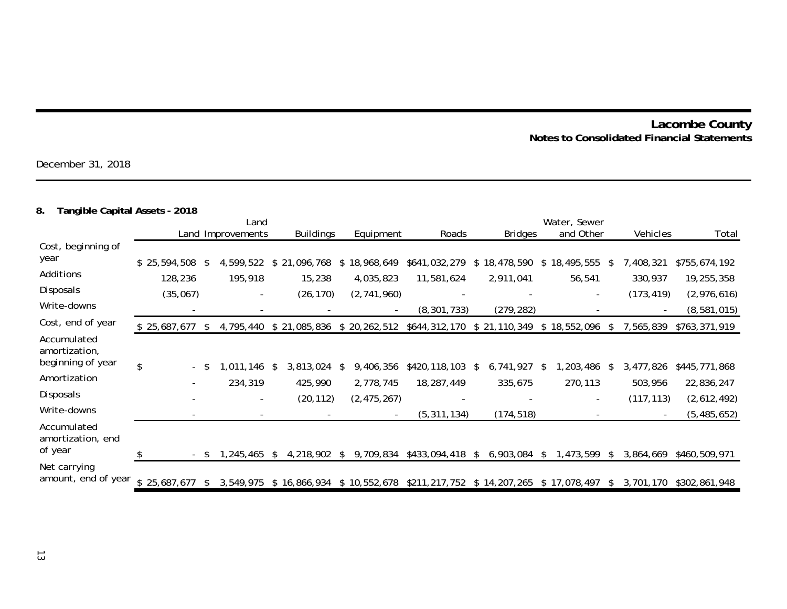December 31, 2018

# **8. Tangible Capital Assets - 2018**

|                                             |                                                       | Land |                   |     |                  |    |                             | Water, Sewer                            |    |                |    |                          |    |                          |               |
|---------------------------------------------|-------------------------------------------------------|------|-------------------|-----|------------------|----|-----------------------------|-----------------------------------------|----|----------------|----|--------------------------|----|--------------------------|---------------|
|                                             |                                                       |      | Land Improvements |     | <b>Buildings</b> |    | Equipment                   | Roads                                   |    | <b>Bridges</b> |    | and Other                |    | Vehicles                 | Total         |
| Cost, beginning of                          |                                                       |      |                   |     |                  |    |                             |                                         |    |                |    |                          |    |                          |               |
| year                                        | ,594,508<br>\$25,                                     | -S   | 4,599,522         |     | \$21<br>,096,768 | \$ | 18,968,649                  | \$641,032,279                           | \$ | 18,478,590     | \$ | 18,495,555               | -S | 7,408,321                | \$755,674,192 |
| Additions                                   | 128,236                                               |      | 195,918           |     | 15,238           |    | 4,035,823                   | 11,581,624                              |    | 2,911,041      |    | 56,541                   |    | 330,937                  | 19,255,358    |
| Disposals                                   | (35,067)                                              |      |                   |     | (26, 170)        |    | (2,741,960)                 |                                         |    |                |    | $\overline{\phantom{a}}$ |    | (173, 419)               | (2,976,616)   |
| Write-downs                                 |                                                       |      |                   |     |                  |    |                             | (8, 301, 733)                           |    | (279, 282)     |    |                          |    |                          | (8,581,015)   |
| Cost, end of year                           | \$25,687,677                                          | \$   | 4,795,440         |     | \$21,085,836     |    | \$20,262,512                | \$644,312,170                           |    | \$21,110,349   | \$ | 18,552,096               | -S | 7,565,839                | \$763,371,919 |
| Accumulated<br>amortization,                |                                                       |      |                   |     |                  |    |                             |                                         |    |                |    |                          |    |                          |               |
| beginning of year                           | $\boldsymbol{\mathsf{S}}$<br>$\overline{\phantom{0}}$ |      | ,011,146          | \$. | 3,813,024        | S  | 9,406,356                   | \$420,118,103                           | S. | 6,741,927      | -S | , 203, 486               |    | 3,477,826                | \$445,771,868 |
| Amortization                                |                                                       |      | 234,319           |     | 425,990          |    | 2,778,745                   | 18,287,449                              |    | 335,675        |    | 270,113                  |    | 503,956                  | 22,836,247    |
| Disposals                                   |                                                       |      |                   |     | (20, 112)        |    | (2, 475, 267)               |                                         |    |                |    |                          |    | (117, 113)               | (2,612,492)   |
| Write-downs                                 |                                                       |      |                   |     |                  |    |                             | (5, 311, 134)                           |    | (174, 518)     |    |                          |    | $\overline{\phantom{a}}$ | (5, 485, 652) |
| Accumulated<br>amortization, end<br>of year |                                                       |      |                   |     |                  |    |                             |                                         |    |                |    |                          |    |                          |               |
|                                             | - \$                                                  |      | , 245, 465        | \$. | 4,218,902        | S. | 9,709,834                   | \$433,094,418                           | \$ | 6,903,084      |    | ,473,599                 |    | 3,864,669                | \$460,509,971 |
| Net carrying<br>amount, end of year         | \$25,687,677                                          |      | 3,549,975         |     |                  |    | $$16,866,934$ $$10,552,678$ | \$211,217,752 \$14,207,265 \$17,078,497 |    |                |    |                          | -S | 3,701,170                | \$302,861,948 |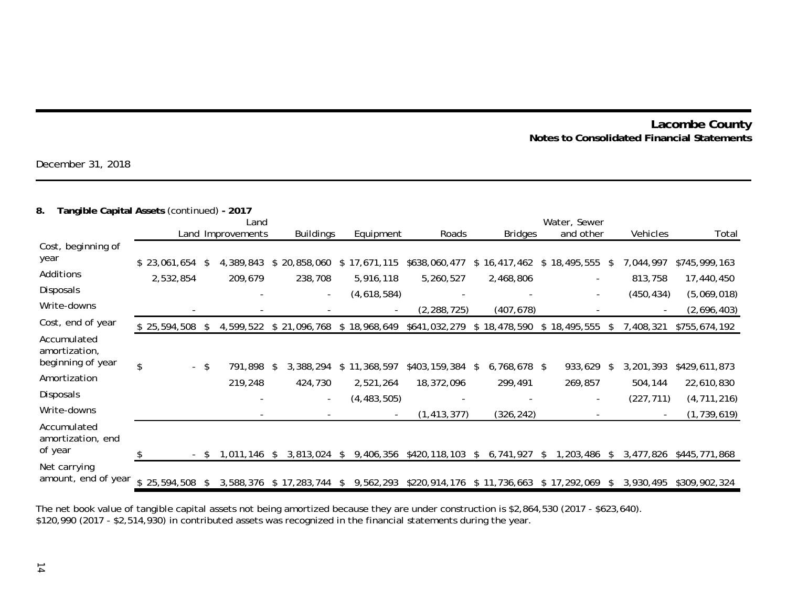December 31, 2018

#### **8. Tangible Capital Assets** (continued) **- 2017**

|                                                   |                           | Land         |                      |                 |                  |    |                         |                            | Water, Sewer |                         |    |                          |    |                                        |                                |
|---------------------------------------------------|---------------------------|--------------|----------------------|-----------------|------------------|----|-------------------------|----------------------------|--------------|-------------------------|----|--------------------------|----|----------------------------------------|--------------------------------|
|                                                   |                           |              | Land Improvements    |                 | <b>Buildings</b> |    | Equipment               | Roads                      |              | <b>Bridges</b>          |    | and other                |    | Vehicles                               | Total                          |
| Cost, beginning of<br>year                        |                           | $\mathbb{S}$ |                      |                 |                  | \$ |                         |                            | \$           |                         | \$ | 18,495,555               | -S |                                        |                                |
| Additions                                         | \$23,061,654<br>2,532,854 |              | 4,389,843<br>209,679 | \$20,858,060    | 238,708          |    | 17,671,115<br>5,916,118 | \$638,060,477<br>5,260,527 |              | 16,417,462<br>2,468,806 |    |                          |    | 7,044,997<br>813,758                   | \$745,999,163<br>17,440,450    |
| Disposals                                         |                           |              |                      |                 |                  |    | (4,618,584)             |                            |              |                         |    | $\overline{\phantom{a}}$ |    | (450, 434)                             | (5,069,018)                    |
| Write-downs                                       |                           |              |                      |                 |                  |    |                         | (2, 288, 725)              |              | (407, 678)              |    |                          |    |                                        | (2,696,403)                    |
| Cost, end of year                                 | \$25,594,508              | -S           | 4,599,522            | \$21,096,768    |                  |    | \$18,968,649            | \$641,032,279              |              | \$18,478,590            |    | \$18,495,555             | \$ | 7,408,321                              | \$755,674,192                  |
| Accumulated<br>amortization,<br>beginning of year |                           |              |                      |                 |                  |    |                         |                            |              |                         |    |                          |    |                                        |                                |
| Amortization                                      | \$                        | - \$         | 791,898              | 3,388,294<br>S  |                  | \$ | 11,368,597              | \$403,159,384              | \$           | 6,768,678 \$            |    | 933,629                  | \$ | 3,201,393                              | \$429,611,873                  |
| Disposals                                         |                           |              | 219,248              |                 | 424,730          |    | 2,521,264               | 18,372,096                 |              | 299,491                 |    | 269,857                  |    | 504,144                                | 22,610,830                     |
| Write-downs                                       |                           |              |                      |                 |                  |    | (4, 483, 505)           | (1, 413, 377)              |              | (326, 242)              |    |                          |    | (227, 711)<br>$\overline{\phantom{a}}$ | (4, 711, 216)<br>(1, 739, 619) |
| Accumulated<br>amortization, end<br>of year       |                           | - \$         | 1,011,146            | 3,813,024<br>S. |                  | S. | 9,406,356               | \$420,118,103              | S.           | 6,741,927               | -S | , 203, 486               | S. | 3,477,826                              | \$445,771,868                  |
| Net carrying<br>amount, end of year               | \$25,594,508              |              | 3,588,376            | \$17,283,744    |                  | \$ | 9,562,293               | \$220,914,176 \$11,736,663 |              |                         |    | \$17,292,069             | S  | 3,930,495                              | \$309,902,324                  |

The net book value of tangible capital assets not being amortized because they are under construction is \$2,864,530 (2017 - \$623,640). \$120,990 (2017 - \$2,514,930) in contributed assets was recognized in the financial statements during the year.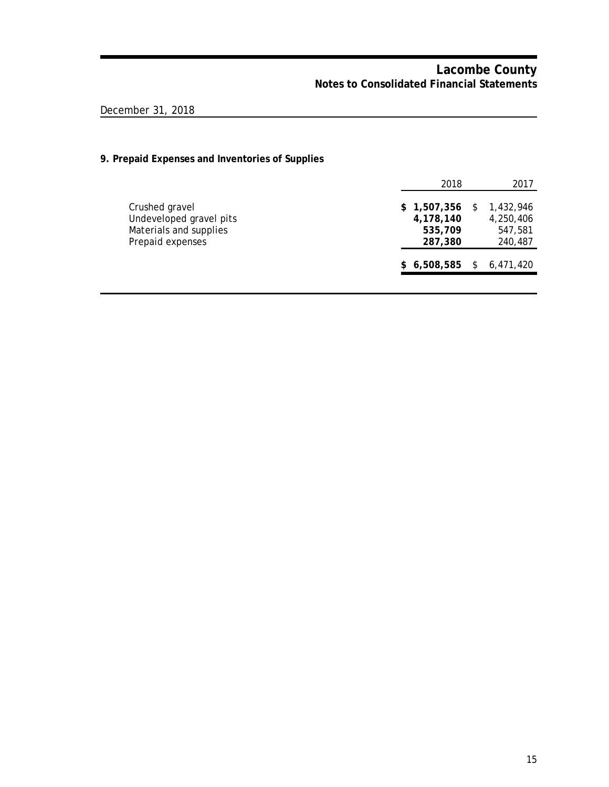# December 31, 2018

## **9. Prepaid Expenses and Inventories of Supplies**

| 2018                                           |     | 2017                                         |
|------------------------------------------------|-----|----------------------------------------------|
| \$1,507,356<br>4,178,140<br>535,709<br>287,380 | S   | 1,432,946<br>4,250,406<br>547,581<br>240,487 |
| \$6,508,585                                    | \$. | 6,471,420                                    |
|                                                |     |                                              |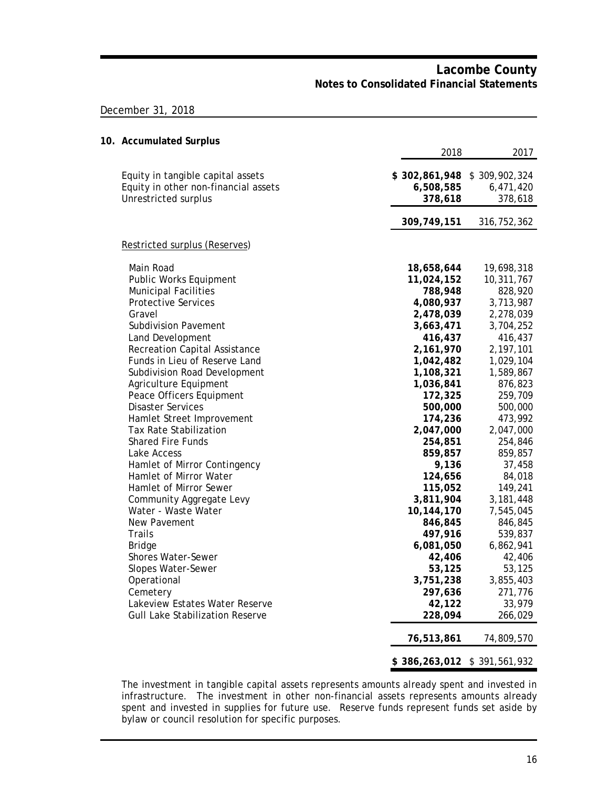### December 31, 2018

| 10. Accumulated Surplus                                                                           |                                       |                                       |
|---------------------------------------------------------------------------------------------------|---------------------------------------|---------------------------------------|
|                                                                                                   | 2018                                  | 2017                                  |
| Equity in tangible capital assets<br>Equity in other non-financial assets<br>Unrestricted surplus | \$302,861,948<br>6,508,585<br>378,618 | \$309,902,324<br>6,471,420<br>378,618 |
|                                                                                                   | 309,749,151                           | 316, 752, 362                         |
| Restricted surplus (Reserves)                                                                     |                                       |                                       |
| Main Road<br>Public Works Equipment                                                               | 18,658,644<br>11,024,152              | 19,698,318<br>10,311,767              |
| <b>Municipal Facilities</b>                                                                       | 788,948                               | 828,920                               |
| <b>Protective Services</b>                                                                        | 4,080,937                             | 3,713,987                             |
| Gravel                                                                                            | 2,478,039                             | 2,278,039                             |
| <b>Subdivision Pavement</b>                                                                       | 3,663,471                             | 3,704,252                             |
| Land Development                                                                                  | 416,437                               | 416,437                               |
| Recreation Capital Assistance                                                                     | 2,161,970                             | 2,197,101                             |
| Funds in Lieu of Reserve Land                                                                     | 1,042,482                             | 1,029,104                             |
| Subdivision Road Development                                                                      | 1,108,321                             | 1,589,867                             |
| Agriculture Equipment                                                                             | 1,036,841                             | 876,823                               |
| Peace Officers Equipment                                                                          | 172,325                               | 259,709                               |
| <b>Disaster Services</b>                                                                          | 500,000                               | 500,000                               |
| Hamlet Street Improvement<br><b>Tax Rate Stabilization</b>                                        | 174,236<br>2,047,000                  | 473,992<br>2,047,000                  |
| <b>Shared Fire Funds</b>                                                                          | 254,851                               | 254,846                               |
| Lake Access                                                                                       | 859,857                               | 859,857                               |
| Hamlet of Mirror Contingency                                                                      | 9,136                                 | 37,458                                |
| Hamlet of Mirror Water                                                                            | 124,656                               | 84,018                                |
| Hamlet of Mirror Sewer                                                                            | 115,052                               | 149,241                               |
| Community Aggregate Levy                                                                          | 3,811,904                             | 3,181,448                             |
| Water - Waste Water                                                                               | 10,144,170                            | 7,545,045                             |
| New Pavement                                                                                      | 846,845                               | 846,845                               |
| Trails                                                                                            | 497,916                               | 539,837                               |
| <b>Bridge</b>                                                                                     | 6,081,050                             | 6,862,941                             |
| Shores Water-Sewer                                                                                | 42,406                                | 42,406                                |
| Slopes Water-Sewer                                                                                | 53,125                                | 53,125                                |
| Operational                                                                                       | 3,751,238                             | 3,855,403                             |
| Cemetery                                                                                          | 297,636                               | 271,776                               |
| Lakeview Estates Water Reserve                                                                    | 42,122                                | 33,979                                |
| <b>Gull Lake Stabilization Reserve</b>                                                            | 228,094                               | 266,029                               |
|                                                                                                   | 76,513,861                            | 74,809,570                            |
|                                                                                                   | \$386,263,012 \$391,561,932           |                                       |

The investment in tangible capital assets represents amounts already spent and invested in infrastructure. The investment in other non-financial assets represents amounts already spent and invested in supplies for future use. Reserve funds represent funds set aside by bylaw or council resolution for specific purposes.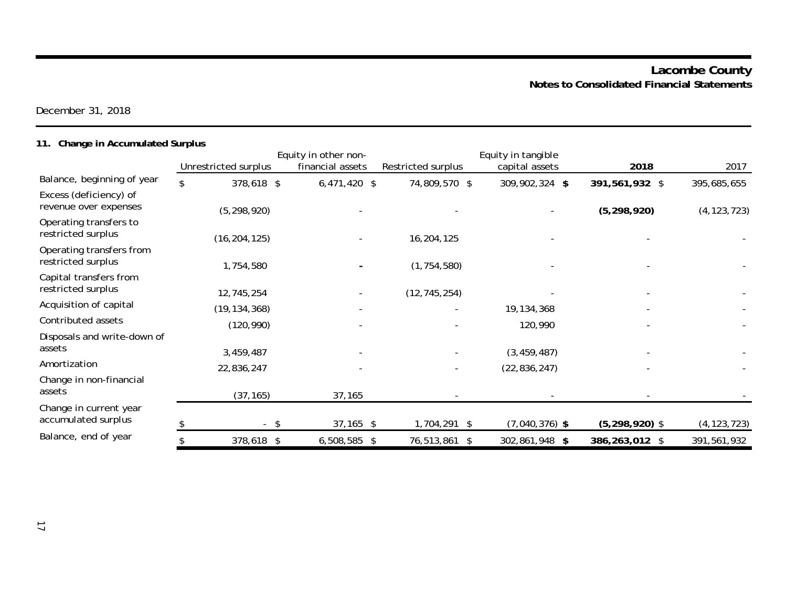December 31, 2018

# **11. Change in Accumulated Surplus**

|                                                 |     |                      | Equity in other non- |                    | Equity in tangible |                    |               |
|-------------------------------------------------|-----|----------------------|----------------------|--------------------|--------------------|--------------------|---------------|
|                                                 |     | Unrestricted surplus | financial assets     | Restricted surplus | capital assets     | 2018               | 2017          |
| Balance, beginning of year                      | \$. | 378,618 \$           | $6,471,420$ \$       | 74,809,570 \$      | 309,902,324 \$     | 391,561,932 \$     | 395,685,655   |
| Excess (deficiency) of<br>revenue over expenses |     | (5, 298, 920)        |                      |                    |                    | (5, 298, 920)      | (4, 123, 723) |
| Operating transfers to<br>restricted surplus    |     | (16, 204, 125)       |                      | 16,204,125         |                    |                    |               |
| Operating transfers from<br>restricted surplus  |     | 1,754,580            |                      | (1, 754, 580)      |                    |                    |               |
| Capital transfers from<br>restricted surplus    |     | 12,745,254           |                      | (12, 745, 254)     |                    |                    |               |
| Acquisition of capital                          |     | (19, 134, 368)       |                      |                    | 19, 134, 368       |                    |               |
| Contributed assets                              |     | (120, 990)           |                      |                    | 120,990            |                    |               |
| Disposals and write-down of<br>assets           |     | 3,459,487            |                      |                    | (3, 459, 487)      |                    |               |
| Amortization                                    |     | 22,836,247           |                      |                    | (22, 836, 247)     |                    |               |
| Change in non-financial<br>assets               |     | (37, 165)            | 37,165               |                    |                    |                    |               |
| Change in current year<br>accumulated surplus   |     | -\$                  | $37,165$ \$          | 1,704,291 \$       | $(7,040,376)$ \$   | $(5, 298, 920)$ \$ | (4, 123, 723) |
| Balance, end of year                            |     | 378,618 \$           | $6,508,585$ \$       | 76,513,861 \$      | 302,861,948 \$     | 386,263,012 \$     | 391,561,932   |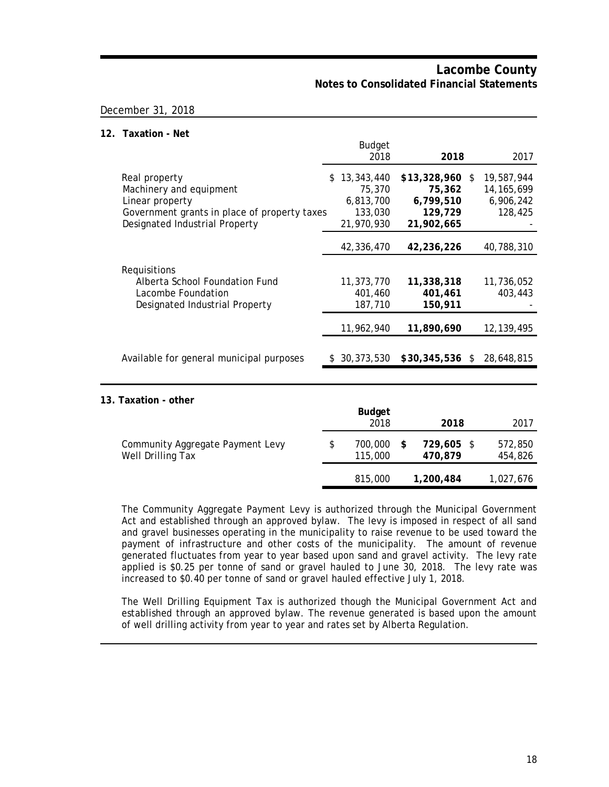#### December 31, 2018

#### **12. Taxation - Net**

|                                                                                                                                               | <b>Budget</b><br>2018                                             | 2018                                                             | 2017                                               |
|-----------------------------------------------------------------------------------------------------------------------------------------------|-------------------------------------------------------------------|------------------------------------------------------------------|----------------------------------------------------|
| Real property<br>Machinery and equipment<br>Linear property<br>Government grants in place of property taxes<br>Designated Industrial Property | 13,343,440<br>\$.<br>75,370<br>6,813,700<br>133,030<br>21,970,930 | $$13,328,960$ \$<br>75,362<br>6,799,510<br>129,729<br>21,902,665 | 19,587,944<br>14, 165, 699<br>6,906,242<br>128,425 |
|                                                                                                                                               | 42,336,470                                                        | 42,236,226                                                       | 40,788,310                                         |
| Requisitions<br>Alberta School Foundation Fund<br>Lacombe Foundation<br>Designated Industrial Property                                        | 11,373,770<br>401,460<br>187,710                                  | 11,338,318<br>401,461<br>150,911                                 | 11,736,052<br>403,443                              |
|                                                                                                                                               | 11,962,940                                                        | 11,890,690                                                       | 12, 139, 495                                       |
| Available for general municipal purposes                                                                                                      | \$30,373,530                                                      | $$30,345,536$ \$                                                 | 28,648,815                                         |

#### **13. Taxation - other**

|                                                       | <b>Budget</b><br>2018    |    | 2018                  | 2017               |
|-------------------------------------------------------|--------------------------|----|-----------------------|--------------------|
| Community Aggregate Payment Levy<br>Well Drilling Tax | \$<br>700.000<br>115,000 | -S | 729,605 \$<br>470,879 | 572,850<br>454,826 |
|                                                       | 815,000                  |    | 1,200,484             | 1,027,676          |

The Community Aggregate Payment Levy is authorized through the Municipal Government Act and established through an approved bylaw. The levy is imposed in respect of all sand and gravel businesses operating in the municipality to raise revenue to be used toward the payment of infrastructure and other costs of the municipality. The amount of revenue generated fluctuates from year to year based upon sand and gravel activity. The levy rate applied is \$0.25 per tonne of sand or gravel hauled to June 30, 2018. The levy rate was increased to \$0.40 per tonne of sand or gravel hauled effective July 1, 2018.

The Well Drilling Equipment Tax is authorized though the Municipal Government Act and established through an approved bylaw. The revenue generated is based upon the amount of well drilling activity from year to year and rates set by Alberta Regulation.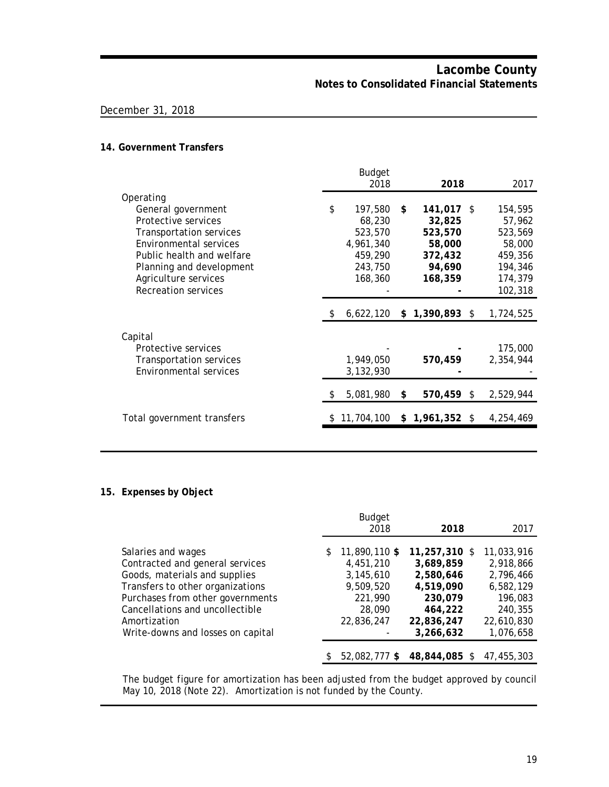### December 31, 2018

#### **14. Government Transfers**

|                                | <b>Budget</b>   |                  |           |
|--------------------------------|-----------------|------------------|-----------|
|                                | 2018            | 2018             | 2017      |
| Operating                      |                 |                  |           |
| General government             | \$<br>197,580   | \$<br>141,017 \$ | 154,595   |
| Protective services            | 68,230          | 32,825           | 57,962    |
| <b>Transportation services</b> | 523,570         | 523,570          | 523,569   |
| Environmental services         | 4,961,340       | 58,000           | 58,000    |
| Public health and welfare      | 459,290         | 372,432          | 459,356   |
| Planning and development       | 243,750         | 94,690           | 194,346   |
| Agriculture services           | 168,360         | 168,359          | 174,379   |
| <b>Recreation services</b>     |                 |                  | 102,318   |
|                                |                 |                  |           |
|                                | \$<br>6,622,120 | $$1,390,893$ \$  | 1,724,525 |
|                                |                 |                  |           |
| Capital                        |                 |                  |           |
| Protective services            |                 |                  | 175,000   |
| Transportation services        | 1,949,050       | 570,459          | 2,354,944 |
| Environmental services         | 3,132,930       |                  |           |
|                                |                 |                  |           |
|                                | 5,081,980       | \$<br>570,459 \$ | 2,529,944 |
|                                |                 |                  |           |
| Total government transfers     | 11,704,100      | $$1,961,352$ \$  | 4,254,469 |
|                                |                 |                  |           |

### **15. Expenses by Object**

|                                   |    | <b>Budget</b> |                 |            |
|-----------------------------------|----|---------------|-----------------|------------|
|                                   |    | 2018          | 2018            | 2017       |
|                                   |    |               |                 |            |
| Salaries and wages                | \$ | 11,890,110 \$ | 11,257,310 \$   | 11,033,916 |
| Contracted and general services   |    | 4,451,210     | 3,689,859       | 2,918,866  |
| Goods, materials and supplies     |    | 3,145,610     | 2,580,646       | 2,796,466  |
| Transfers to other organizations  |    | 9,509,520     | 4,519,090       | 6,582,129  |
| Purchases from other governments  |    | 221,990       | 230,079         | 196,083    |
| Cancellations and uncollectible   |    | 28,090        | 464,222         | 240,355    |
| Amortization                      |    | 22,836,247    | 22,836,247      | 22,610,830 |
| Write-downs and losses on capital |    |               | 3,266,632       | 1,076,658  |
|                                   |    |               |                 |            |
|                                   | S  | 52.082.777 \$ | 48,844,085<br>S | 47.455.303 |

The budget figure for amortization has been adjusted from the budget approved by council May 10, 2018 (Note 22). Amortization is not funded by the County.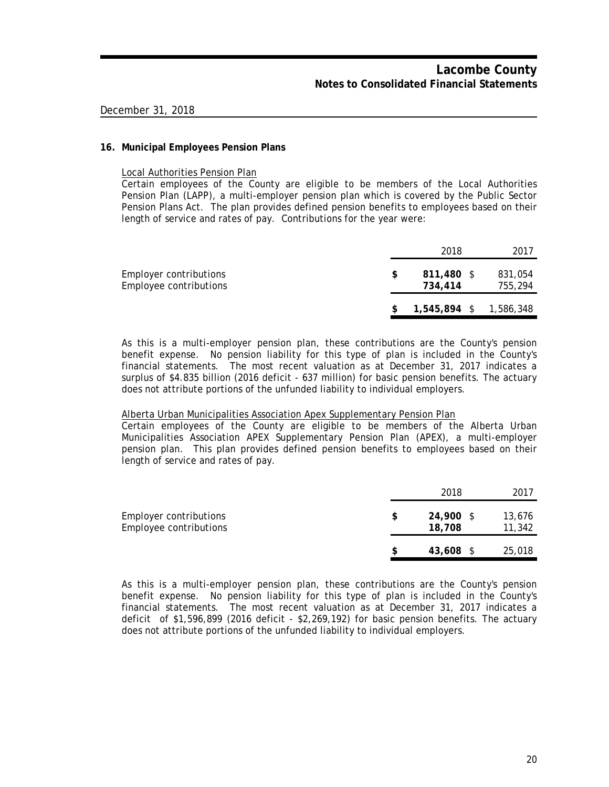#### **16. Municipal Employees Pension Plans**

Local Authorities Pension Plan

Certain employees of the County are eligible to be members of the Local Authorities Pension Plan (LAPP), a multi-employer pension plan which is covered by the Public Sector Pension Plans Act. The plan provides defined pension benefits to employees based on their length of service and rates of pay. Contributions for the year were:

|                                                  |    | 2018                  | 2017                     |
|--------------------------------------------------|----|-----------------------|--------------------------|
| Employer contributions<br>Employee contributions | S. | 811,480 \$<br>734,414 | 831,054<br>755,294       |
|                                                  |    |                       | $1,545,894$ \$ 1,586,348 |

As this is a multi-employer pension plan, these contributions are the County's pension benefit expense. No pension liability for this type of plan is included in the County's financial statements. The most recent valuation as at December 31, 2017 indicates a surplus of \$4.835 billion (2016 deficit - 637 million) for basic pension benefits. The actuary does not attribute portions of the unfunded liability to individual employers.

#### Alberta Urban Municipalities Association Apex Supplementary Pension Plan

Certain employees of the County are eligible to be members of the Alberta Urban Municipalities Association APEX Supplementary Pension Plan (APEX), a multi-employer pension plan. This plan provides defined pension benefits to employees based on their length of service and rates of pay.

|                                                  | 2018                | 2017             |
|--------------------------------------------------|---------------------|------------------|
| Employer contributions<br>Employee contributions | 24,900 \$<br>18,708 | 13,676<br>11,342 |
|                                                  | 43,608 \$           | 25,018           |

As this is a multi-employer pension plan, these contributions are the County's pension benefit expense. No pension liability for this type of plan is included in the County's financial statements. The most recent valuation as at December 31, 2017 indicates a deficit of \$1,596,899 (2016 deficit - \$2,269,192) for basic pension benefits. The actuary does not attribute portions of the unfunded liability to individual employers.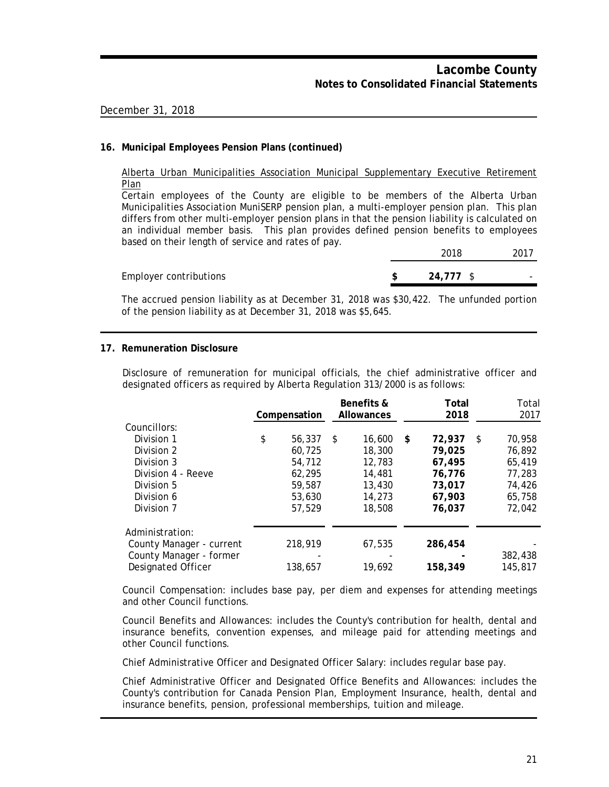#### **16. Municipal Employees Pension Plans (continued)**

Alberta Urban Municipalities Association Municipal Supplementary Executive Retirement Plan

Certain employees of the County are eligible to be members of the Alberta Urban Municipalities Association MuniSERP pension plan, a multi-employer pension plan. This plan differs from other multi-employer pension plans in that the pension liability is calculated on an individual member basis. This plan provides defined pension benefits to employees based on their length of service and rates of pay.

**Employer contributions** 

|   | 2018   | 2017 |
|---|--------|------|
| q | 24.777 |      |

The accrued pension liability as at December 31, 2018 was \$30,422. The unfunded portion of the pension liability as at December 31, 2018 was \$5,645.

#### **17. Remuneration Disclosure**

Disclosure of remuneration for municipal officials, the chief administrative officer and designated officers as required by Alberta Regulation 313/2000 is as follows:

|                          | Compensation |         |    | Benefits &<br><b>Allowances</b> | Total<br>2018 |   | Total<br>2017 |  |
|--------------------------|--------------|---------|----|---------------------------------|---------------|---|---------------|--|
| Councillors:             |              |         |    |                                 |               |   |               |  |
| Division 1               | \$           | 56,337  | -S | 16,600                          | \$<br>72,937  | S | 70,958        |  |
| Division 2               |              | 60.725  |    | 18,300                          | 79,025        |   | 76.892        |  |
| Division 3               |              | 54,712  |    | 12,783                          | 67,495        |   | 65,419        |  |
| Division 4 - Reeve       |              | 62.295  |    | 14,481                          | 76,776        |   | 77.283        |  |
| Division 5               |              | 59,587  |    | 13,430                          | 73,017        |   | 74,426        |  |
| Division 6               |              | 53,630  |    | 14,273                          | 67,903        |   | 65,758        |  |
| Division 7               |              | 57,529  |    | 18,508                          | 76,037        |   | 72,042        |  |
| Administration:          |              |         |    |                                 |               |   |               |  |
| County Manager - current |              | 218,919 |    | 67,535                          | 286,454       |   |               |  |
| County Manager - former  |              |         |    |                                 |               |   | 382,438       |  |
| Designated Officer       |              | 138,657 |    | 19,692                          | 158,349       |   | 145,817       |  |

Council Compensation: includes base pay, per diem and expenses for attending meetings and other Council functions.

Council Benefits and Allowances: includes the County's contribution for health, dental and insurance benefits, convention expenses, and mileage paid for attending meetings and other Council functions.

Chief Administrative Officer and Designated Officer Salary: includes regular base pay.

Chief Administrative Officer and Designated Office Benefits and Allowances: includes the County's contribution for Canada Pension Plan, Employment Insurance, health, dental and insurance benefits, pension, professional memberships, tuition and mileage.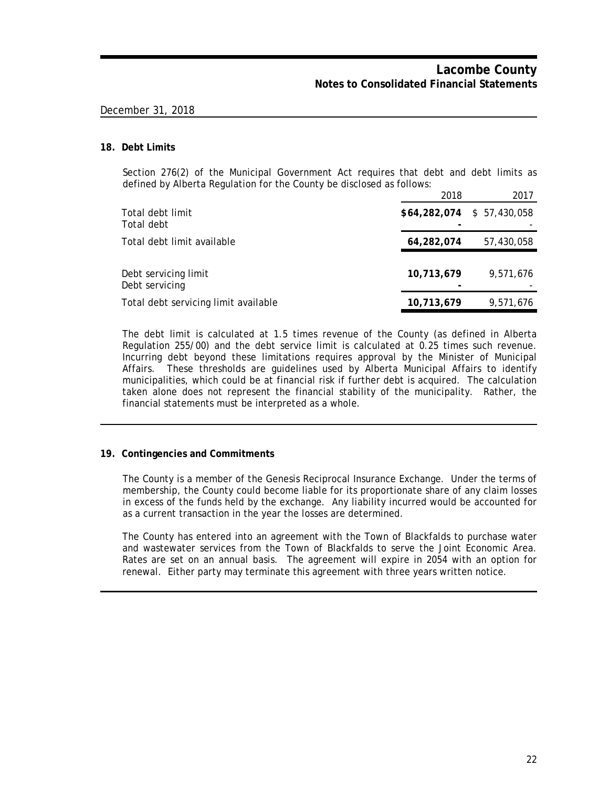#### **18. Debt Limits**

Section 276(2) of the Municipal Government Act requires that debt and debt limits as defined by Alberta Regulation for the County be disclosed as follows:

|                                        | 2018                        | 2017       |
|----------------------------------------|-----------------------------|------------|
| Total debt limit<br>Total debt         | $$64,282,074$ $$57,430,058$ |            |
| Total debt limit available             | 64,282,074                  | 57,430,058 |
| Debt servicing limit<br>Debt servicing | 10,713,679                  | 9.571.676  |
| Total debt servicing limit available   | 10,713,679                  | 9,571,676  |

The debt limit is calculated at 1.5 times revenue of the County (as defined in Alberta Regulation 255/00) and the debt service limit is calculated at 0.25 times such revenue. Incurring debt beyond these limitations requires approval by the Minister of Municipal Affairs. These thresholds are guidelines used by Alberta Municipal Affairs to identify municipalities, which could be at financial risk if further debt is acquired. The calculation taken alone does not represent the financial stability of the municipality. Rather, the financial statements must be interpreted as a whole.

#### **19. Contingencies and Commitments**

The County is a member of the Genesis Reciprocal Insurance Exchange. Under the terms of membership, the County could become liable for its proportionate share of any claim losses in excess of the funds held by the exchange. Any liability incurred would be accounted for as a current transaction in the year the losses are determined.

The County has entered into an agreement with the Town of Blackfalds to purchase water and wastewater services from the Town of Blackfalds to serve the Joint Economic Area. Rates are set on an annual basis. The agreement will expire in 2054 with an option for renewal. Either party may terminate this agreement with three years written notice.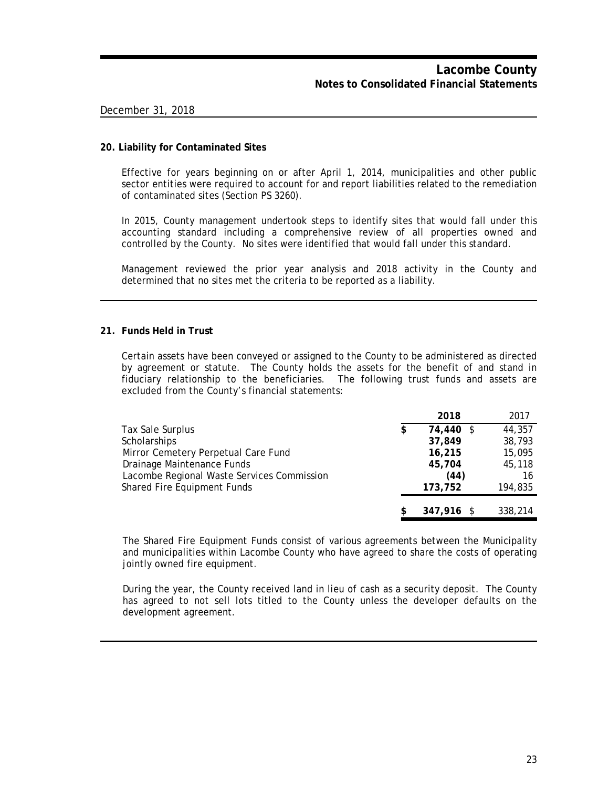#### **20. Liability for Contaminated Sites**

Effective for years beginning on or after April 1, 2014, municipalities and other public sector entities were required to account for and report liabilities related to the remediation of contaminated sites (Section PS 3260).

In 2015, County management undertook steps to identify sites that would fall under this accounting standard including a comprehensive review of all properties owned and controlled by the County. No sites were identified that would fall under this standard.

Management reviewed the prior year analysis and 2018 activity in the County and determined that no sites met the criteria to be reported as a liability.

#### **21. Funds Held in Trust**

Certain assets have been conveyed or assigned to the County to be administered as directed by agreement or statute. The County holds the assets for the benefit of and stand in fiduciary relationship to the beneficiaries. The following trust funds and assets are excluded from the County's financial statements:

|                                            |   | 2018         | 2017    |
|--------------------------------------------|---|--------------|---------|
| Tax Sale Surplus                           | S | 74,440 \$    | 44,357  |
| Scholarships                               |   | 37,849       | 38,793  |
| Mirror Cemetery Perpetual Care Fund        |   | 16,215       | 15,095  |
| Drainage Maintenance Funds                 |   | 45,704       | 45,118  |
| Lacombe Regional Waste Services Commission |   | (44)         | 16      |
| Shared Fire Equipment Funds                |   | 173,752      | 194,835 |
|                                            |   |              |         |
|                                            |   | $347.916$ \$ | 338,214 |

The Shared Fire Equipment Funds consist of various agreements between the Municipality and municipalities within Lacombe County who have agreed to share the costs of operating jointly owned fire equipment.

During the year, the County received land in lieu of cash as a security deposit. The County has agreed to not sell lots titled to the County unless the developer defaults on the development agreement.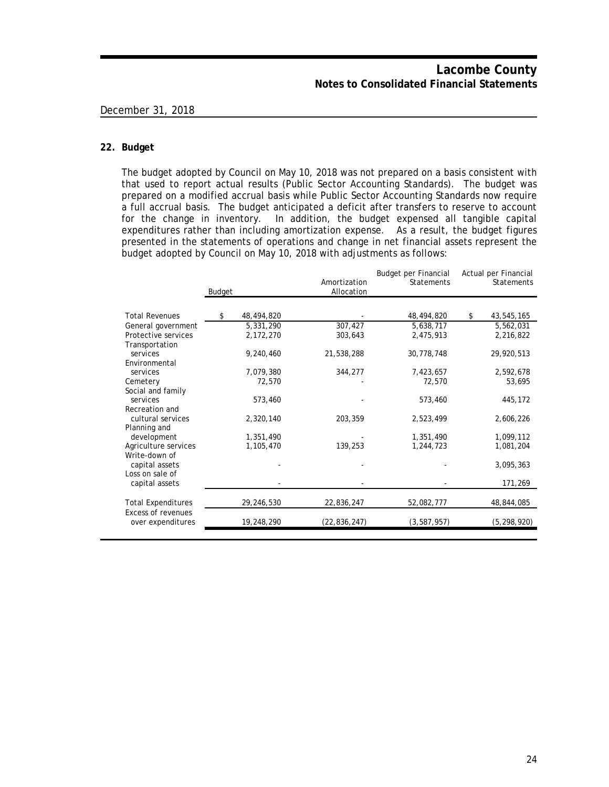#### **22. Budget**

The budget adopted by Council on May 10, 2018 was not prepared on a basis consistent with that used to report actual results (Public Sector Accounting Standards). The budget was prepared on a modified accrual basis while Public Sector Accounting Standards now require a full accrual basis. The budget anticipated a deficit after transfers to reserve to account for the change in inventory. In addition, the budget expensed all tangible capital expenditures rather than including amortization expense. As a result, the budget figures presented in the statements of operations and change in net financial assets represent the budget adopted by Council on May 10, 2018 with adjustments as follows:

|                                                | Budget |            | Amortization<br>Allocation | Budget per Financial<br><b>Statements</b> | Actual per Financial<br>Statements |
|------------------------------------------------|--------|------------|----------------------------|-------------------------------------------|------------------------------------|
| <b>Total Revenues</b>                          | \$     | 48,494,820 |                            | 48,494,820                                | \$<br>43,545,165                   |
| General government                             |        | 5,331,290  | 307,427                    | 5,638,717                                 | 5,562,031                          |
| Protective services<br>Transportation          |        | 2,172,270  | 303,643                    | 2,475,913                                 | 2,216,822                          |
| services                                       |        | 9,240,460  | 21,538,288                 | 30,778,748                                | 29,920,513                         |
| Environmental<br>services                      |        | 7,079,380  | 344,277                    | 7,423,657                                 | 2,592,678                          |
| Cemetery                                       |        | 72,570     |                            | 72,570                                    | 53,695                             |
| Social and family<br>services                  |        | 573,460    |                            | 573,460                                   | 445,172                            |
| Recreation and<br>cultural services            |        | 2,320,140  | 203,359                    | 2,523,499                                 | 2,606,226                          |
| Planning and                                   |        |            |                            |                                           |                                    |
| development                                    |        | 1,351,490  |                            | 1,351,490                                 | 1,099,112                          |
| Agriculture services<br>Write-down of          |        | 1,105,470  | 139,253                    | 1,244,723                                 | 1,081,204                          |
| capital assets<br>Loss on sale of              |        |            |                            |                                           | 3,095,363                          |
| capital assets                                 |        |            |                            |                                           | 171,269                            |
| <b>Total Expenditures</b>                      |        | 29,246,530 | 22,836,247                 | 52,082,777                                | 48,844,085                         |
| <b>Excess of revenues</b><br>over expenditures |        | 19,248,290 | (22, 836, 247)             | (3, 587, 957)                             | (5, 298, 920)                      |
|                                                |        |            |                            |                                           |                                    |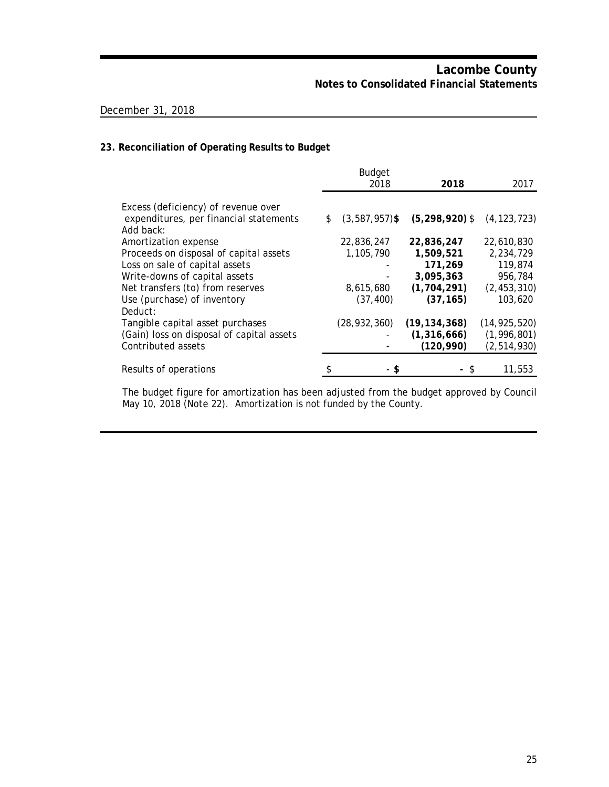### **23. Reconciliation of Operating Results to Budget**

|                                           | <b>Budget</b><br>2018  | 2018               | 2017           |
|-------------------------------------------|------------------------|--------------------|----------------|
| Excess (deficiency) of revenue over       |                        |                    |                |
| expenditures, per financial statements    | \$<br>$(3,587,957)$ \$ | $(5, 298, 920)$ \$ | (4, 123, 723)  |
| Add back:                                 |                        |                    |                |
| Amortization expense                      | 22,836,247             | 22,836,247         | 22,610,830     |
| Proceeds on disposal of capital assets    | 1,105,790              | 1,509,521          | 2,234,729      |
| Loss on sale of capital assets            |                        | 171,269            | 119,874        |
| Write-downs of capital assets             |                        | 3,095,363          | 956,784        |
| Net transfers (to) from reserves          | 8,615,680              | (1, 704, 291)      | (2, 453, 310)  |
| Use (purchase) of inventory               | (37, 400)              | (37, 165)          | 103,620        |
| Deduct:                                   |                        |                    |                |
| Tangible capital asset purchases          | (28, 932, 360)         | (19, 134, 368)     | (14, 925, 520) |
| (Gain) loss on disposal of capital assets |                        | (1, 316, 666)      | (1,996,801)    |
| Contributed assets                        |                        | (120, 990)         | (2, 514, 930)  |
|                                           |                        |                    |                |
| Results of operations                     | - \$                   |                    | 11,553         |

The budget figure for amortization has been adjusted from the budget approved by Council May 10, 2018 (Note 22). Amortization is not funded by the County.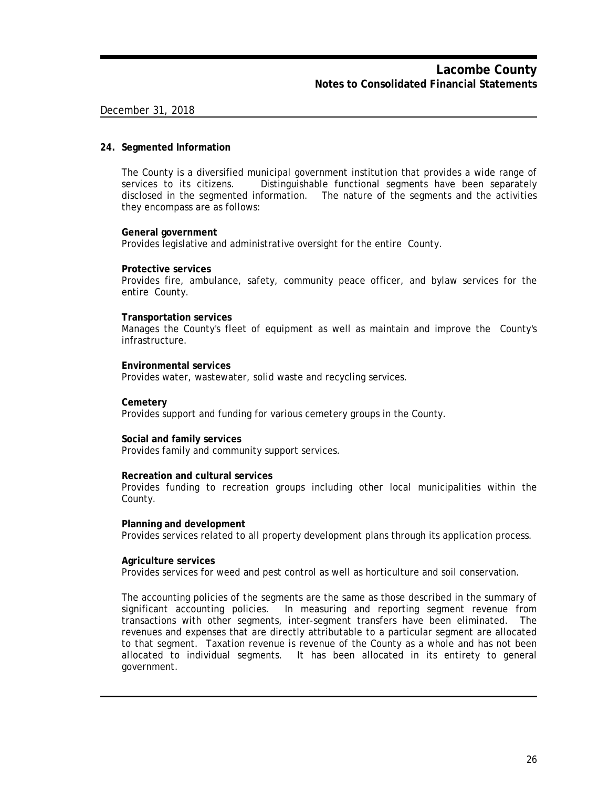#### **24. Segmented Information**

The County is a diversified municipal government institution that provides a wide range of services to its citizens. Distinguishable functional segments have been separately disclosed in the segmented information. The nature of the segments and the activities they encompass are as follows:

#### **General government**

Provides legislative and administrative oversight for the entire County.

#### **Protective services**

Provides fire, ambulance, safety, community peace officer, and bylaw services for the entire County.

#### **Transportation services**

Manages the County's fleet of equipment as well as maintain and improve the County's infrastructure.

#### **Environmental services**

Provides water, wastewater, solid waste and recycling services.

#### **Cemetery**

Provides support and funding for various cemetery groups in the County.

#### **Social and family services**

Provides family and community support services.

#### **Recreation and cultural services**

Provides funding to recreation groups including other local municipalities within the County.

#### **Planning and development**

Provides services related to all property development plans through its application process.

#### **Agriculture services**

Provides services for weed and pest control as well as horticulture and soil conservation.

The accounting policies of the segments are the same as those described in the summary of significant accounting policies. In measuring and reporting segment revenue from transactions with other segments, inter-segment transfers have been eliminated. The revenues and expenses that are directly attributable to a particular segment are allocated to that segment. Taxation revenue is revenue of the County as a whole and has not been allocated to individual segments. It has been allocated in its entirety to general government.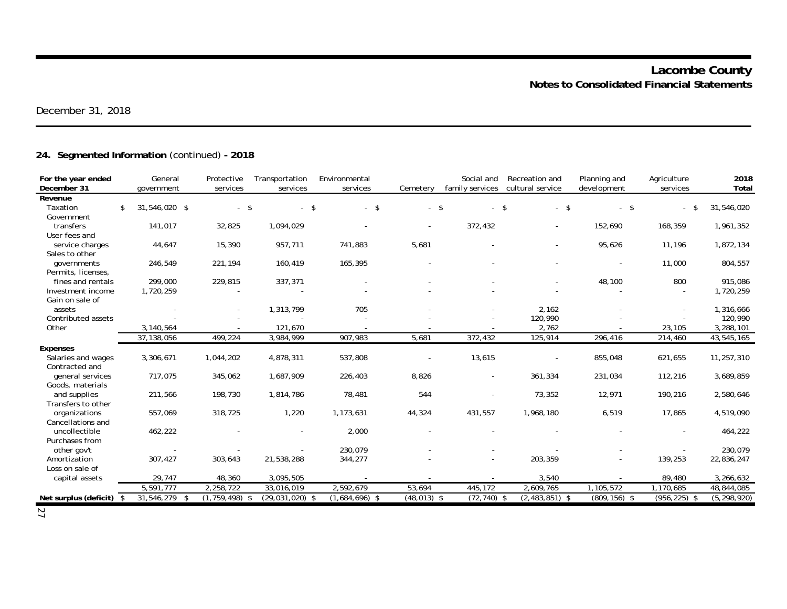# **24. Segmented Information** (continued) **- 2018**

| For the year ended<br>December 31       | General<br>government | Protective<br>services | Transportation<br>services | Environmental<br>services | Cemetery       | Social and<br>family services | Recreation and<br>cultural service | Planning and<br>development | Agriculture<br>services | 2018<br>Total |
|-----------------------------------------|-----------------------|------------------------|----------------------------|---------------------------|----------------|-------------------------------|------------------------------------|-----------------------------|-------------------------|---------------|
| Revenue                                 |                       |                        |                            |                           |                |                               |                                    |                             |                         |               |
| Taxation<br>\$                          | 31,546,020 \$         | $-$ \$                 | $-5$                       | $-5$                      | $-5$           | $\omega_{\rm{eff}}$           | $-5$<br>-\$                        | $-$ \$                      |                         | 31,546,020    |
| Government                              |                       |                        |                            |                           |                |                               |                                    |                             |                         |               |
| transfers                               | 141,017               | 32,825                 | 1,094,029                  |                           |                | 372,432                       |                                    | 152,690                     | 168,359                 | 1,961,352     |
| User fees and                           |                       |                        |                            |                           |                |                               |                                    |                             |                         |               |
| service charges                         | 44,647                | 15,390                 | 957,711                    | 741,883                   | 5,681          |                               |                                    | 95,626                      | 11,196                  | 1,872,134     |
| Sales to other                          |                       |                        |                            |                           |                |                               |                                    |                             |                         |               |
| governments                             | 246,549               | 221,194                | 160,419                    | 165,395                   |                |                               |                                    |                             | 11,000                  | 804,557       |
| Permits, licenses,<br>fines and rentals |                       |                        | 337,371                    |                           |                |                               |                                    |                             |                         | 915,086       |
| Investment income                       | 299,000<br>1,720,259  | 229,815                |                            |                           |                |                               |                                    | 48,100                      | 800                     |               |
| Gain on sale of                         |                       |                        |                            |                           |                |                               |                                    |                             |                         | 1,720,259     |
| assets                                  |                       |                        | 1,313,799                  | 705                       |                |                               | 2,162                              |                             |                         | 1,316,666     |
| Contributed assets                      |                       |                        |                            |                           |                |                               | 120,990                            |                             |                         | 120,990       |
| Other                                   | 3,140,564             |                        | 121,670                    |                           |                |                               | 2,762                              |                             | 23,105                  | 3,288,101     |
|                                         | 37, 138, 056          | 499,224                | 3,984,999                  | 907,983                   | 5,681          | 372,432                       | 125,914                            | 296,416                     | 214,460                 | 43,545,165    |
| <b>Expenses</b>                         |                       |                        |                            |                           |                |                               |                                    |                             |                         |               |
| Salaries and wages                      | 3,306,671             | 1,044,202              | 4,878,311                  | 537,808                   |                | 13,615                        |                                    | 855,048                     | 621,655                 | 11,257,310    |
| Contracted and                          |                       |                        |                            |                           |                |                               |                                    |                             |                         |               |
| general services                        | 717,075               | 345,062                | 1,687,909                  | 226,403                   | 8,826          |                               | 361,334                            | 231,034                     | 112,216                 | 3,689,859     |
| Goods, materials                        |                       |                        |                            |                           |                |                               |                                    |                             |                         |               |
| and supplies                            | 211,566               | 198,730                | 1,814,786                  | 78,481                    | 544            | ÷,                            | 73,352                             | 12,971                      | 190,216                 | 2,580,646     |
| Transfers to other                      |                       |                        |                            |                           |                |                               |                                    |                             |                         |               |
| organizations                           | 557,069               | 318,725                | 1,220                      | 1,173,631                 | 44,324         | 431,557                       | 1,968,180                          | 6,519                       | 17,865                  | 4,519,090     |
| Cancellations and                       |                       |                        |                            |                           |                |                               |                                    |                             |                         |               |
| uncollectible                           | 462,222               |                        |                            | 2,000                     |                |                               |                                    |                             |                         | 464,222       |
| Purchases from                          |                       |                        |                            |                           |                |                               |                                    |                             |                         |               |
| other gov't                             |                       |                        |                            | 230,079                   |                |                               |                                    |                             |                         | 230,079       |
| Amortization                            | 307,427               | 303,643                | 21,538,288                 | 344,277                   |                |                               | 203,359                            |                             | 139,253                 | 22,836,247    |
| Loss on sale of                         |                       |                        |                            |                           |                |                               |                                    |                             |                         |               |
| capital assets                          | 29,747                | 48,360                 | 3,095,505                  |                           |                |                               | 3,540                              |                             | 89,480                  | 3,266,632     |
|                                         | 5,591,777             | 2,258,722              | 33,016,019                 | 2,592,679                 | 53,694         | 445,172                       | 2,609,765                          | $1,105,5\overline{72}$      | 1,170,685               | 48,844,085    |
| Net surplus (deficit) $\sqrt{s}$        | 31,546,279 \$         | $(1, 759, 498)$ \$     | $(29, 031, 020)$ \$        | $(1,684,696)$ \$          | $(48, 013)$ \$ | $(72, 740)$ \$                | $(2,483,851)$ \$                   | $(809, 156)$ \$             | $(956, 225)$ \$         | (5, 298, 920) |

27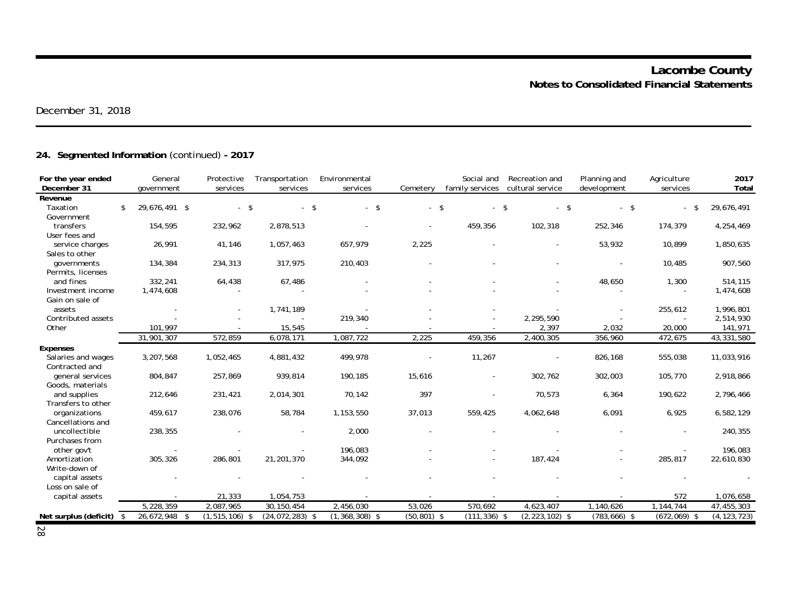# **24. Segmented Information** (continued) **- 2017**

| For the year ended<br>December 31  |      | General<br>government | Protective<br>services | Transportation<br>services | Environmental<br>services | Cemetery       | Social and<br>family services | Recreation and<br>cultural service | Planning and<br>development | Agriculture<br>services | 2017<br>Total |
|------------------------------------|------|-----------------------|------------------------|----------------------------|---------------------------|----------------|-------------------------------|------------------------------------|-----------------------------|-------------------------|---------------|
| Revenue                            |      |                       |                        |                            |                           |                |                               |                                    |                             |                         |               |
| Taxation                           | \$   | 29,676,491 \$         | $-$ \$                 | $-5$                       | $-$ \$                    | $-5$           |                               | $\mathbf{\hat{s}}$<br>$-5$         | $-5$                        | -\$                     | 29,676,491    |
| Government                         |      |                       |                        |                            |                           |                |                               |                                    |                             |                         |               |
| transfers                          |      | 154,595               | 232,962                | 2,878,513                  |                           |                | 459,356                       | 102,318                            | 252,346                     | 174,379                 | 4,254,469     |
| User fees and                      |      |                       |                        |                            |                           |                |                               |                                    |                             |                         |               |
| service charges                    |      | 26,991                | 41,146                 | 1,057,463                  | 657,979                   | 2,225          |                               |                                    | 53,932                      | 10,899                  | 1,850,635     |
| Sales to other                     |      |                       |                        |                            |                           |                |                               |                                    |                             |                         |               |
| <i>aovernments</i>                 |      | 134,384               | 234,313                | 317,975                    | 210,403                   |                |                               |                                    |                             | 10,485                  | 907,560       |
| Permits, licenses                  |      |                       |                        |                            |                           |                |                               |                                    |                             |                         |               |
| and fines                          |      | 332,241               | 64,438                 | 67,486                     |                           |                |                               |                                    | 48,650                      | 1,300                   | 514,115       |
| Investment income                  |      | 1,474,608             |                        |                            |                           |                |                               |                                    |                             |                         | 1,474,608     |
| Gain on sale of                    |      |                       |                        |                            |                           |                |                               |                                    |                             |                         |               |
| assets                             |      |                       |                        | 1,741,189                  |                           |                |                               |                                    |                             | 255,612                 | 1,996,801     |
| Contributed assets                 |      |                       |                        |                            | 219,340                   |                |                               | 2,295,590                          |                             |                         | 2,514,930     |
| Other                              |      | 101,997               |                        | 15,545                     |                           |                |                               | 2,397                              | 2,032                       | 20,000                  | 141,971       |
|                                    |      | 31,901,307            | 572,859                | 6,078,171                  | 1,087,722                 | 2,225          | 459,356                       | 2,400,305                          | 356,960                     | 472,675                 | 43,331,580    |
| <b>Expenses</b>                    |      |                       |                        |                            |                           |                |                               |                                    |                             |                         |               |
| Salaries and wages                 |      | 3,207,568             | 1,052,465              | 4,881,432                  | 499,978                   |                | 11,267                        |                                    | 826,168                     | 555,038                 | 11,033,916    |
| Contracted and                     |      |                       |                        |                            |                           |                |                               |                                    |                             |                         |               |
| general services                   |      | 804,847               | 257,869                | 939,814                    | 190,185                   | 15,616         |                               | 302,762                            | 302,003                     | 105,770                 | 2,918,866     |
| Goods, materials                   |      |                       |                        |                            |                           |                |                               |                                    |                             |                         |               |
| and supplies                       |      | 212,646               | 231,421                | 2,014,301                  | 70,142                    | 397            |                               | 70,573                             | 6,364                       | 190,622                 | 2,796,466     |
| Transfers to other                 |      |                       |                        |                            |                           |                |                               |                                    |                             |                         |               |
| organizations<br>Cancellations and |      | 459,617               | 238,076                | 58,784                     | 1,153,550                 | 37,013         | 559,425                       | 4,062,648                          | 6,091                       | 6,925                   | 6,582,129     |
| uncollectible                      |      | 238,355               |                        |                            | 2,000                     |                |                               |                                    |                             |                         | 240,355       |
| Purchases from                     |      |                       |                        |                            |                           |                |                               |                                    |                             |                         |               |
| other gov't                        |      | $\sim$                |                        |                            | 196,083                   |                |                               |                                    |                             |                         | 196,083       |
| Amortization                       |      | 305,326               | 286,801                | 21,201,370                 | 344,092                   |                |                               | 187,424                            |                             | 285,817                 | 22,610,830    |
| Write-down of                      |      |                       |                        |                            |                           |                |                               |                                    |                             |                         |               |
| capital assets                     |      |                       |                        |                            |                           |                |                               |                                    |                             |                         |               |
| Loss on sale of                    |      |                       |                        |                            |                           |                |                               |                                    |                             |                         |               |
| capital assets                     |      |                       | 21,333                 | 1,054,753                  |                           |                |                               |                                    |                             | 572                     | 1,076,658     |
|                                    |      | 5,228,359             | 2,087,965              | 30,150,454                 | 2,456,030                 | 53,026         | 570,692                       | 4,623,407                          | 1,140,626                   | 1,144,744               | 47,455,303    |
| Net surplus (deficit)              | - \$ | 26,672,948<br>- \$    | $(1, 515, 106)$ \$     | $(24, 072, 283)$ \$        | $(1,368,308)$ \$          | $(50, 801)$ \$ | $(111, 336)$ \$               | $(2, 223, 102)$ \$                 | $(783, 666)$ \$             | $(672,069)$ \$          | (4, 123, 723) |
|                                    |      |                       |                        |                            |                           |                |                               |                                    |                             |                         |               |

28